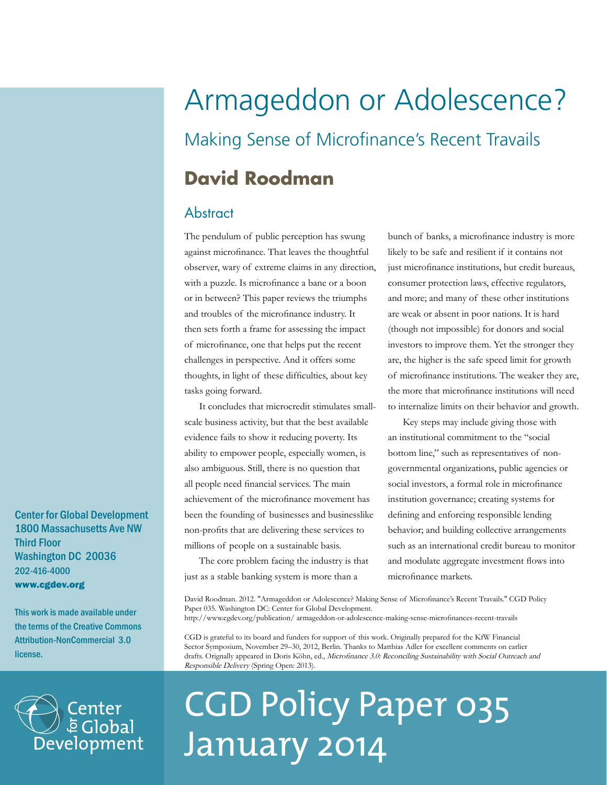## Armageddon or Adolescence? Making Sense of Microfinance's Recent Travails **David Roodman**

## **Abstract**

The pendulum of public perception has swung against microfinance. That leaves the thoughtful observer, wary of extreme claims in any direction, with a puzzle. Is microfinance a bane or a boon or in between? This paper reviews the triumphs and troubles of the microfinance industry. It then sets forth a frame for assessing the impact of microfinance, one that helps put the recent challenges in perspective. And it offers some thoughts, in light of these difficulties, about key tasks going forward.

It concludes that microcredit stimulates smallscale business activity, but that the best available evidence fails to show it reducing poverty. Its ability to empower people, especially women, is also ambiguous. Still, there is no question that all people need financial services. The main achievement of the microfinance movement has been the founding of businesses and businesslike non-profits that are delivering these services to millions of people on a sustainable basis.

The core problem facing the industry is that just as a stable banking system is more than a

bunch of banks, a microfinance industry is more likely to be safe and resilient if it contains not just microfinance institutions, but credit bureaus, consumer protection laws, effective regulators, and more; and many of these other institutions are weak or absent in poor nations. It is hard (though not impossible) for donors and social investors to improve them. Yet the stronger they are, the higher is the safe speed limit for growth of microfinance institutions. The weaker they are, the more that microfinance institutions will need to internalize limits on their behavior and growth.

Key steps may include giving those with an institutional commitment to the "social bottom line," such as representatives of nongovernmental organizations, public agencies or social investors, a formal role in microfinance institution governance; creating systems for defining and enforcing responsible lending behavior; and building collective arrangements such as an international credit bureau to monitor and modulate aggregate investment flows into microfinance markets.

David Roodman. 2012. "Armageddon or Adolescence? Making Sense of Microfinance's Recent Travails." CGD Policy Paper 035. Washington DC: Center for Global Development.

http://www.cgdev.org/publication/ armageddon-or-adolescence-making-sense-microfinances-recent-travails

CGD is grateful to its board and funders for support of this work. Originally prepared for the KfW Financial Sector Symposium, November 29–30, 2012, Berlin. Thanks to Matthias Adler for excellent comments on earlier drafts. Orignally appeared in Doris Köhn, ed., Microfinance 3.0: Reconciling Sustainability with Social Outreach and Responsible Delivery (Spring Open: 2013).

# CGD Policy Paper 035 January 2014

Center for Global Development 1800 Massachusetts Ave NW Third Floor Washington DC 20036 202-416-4000 www.cgdev.org

This work is made available under the terms of the Creative Commons Attribution-NonCommercial 3.0 license.

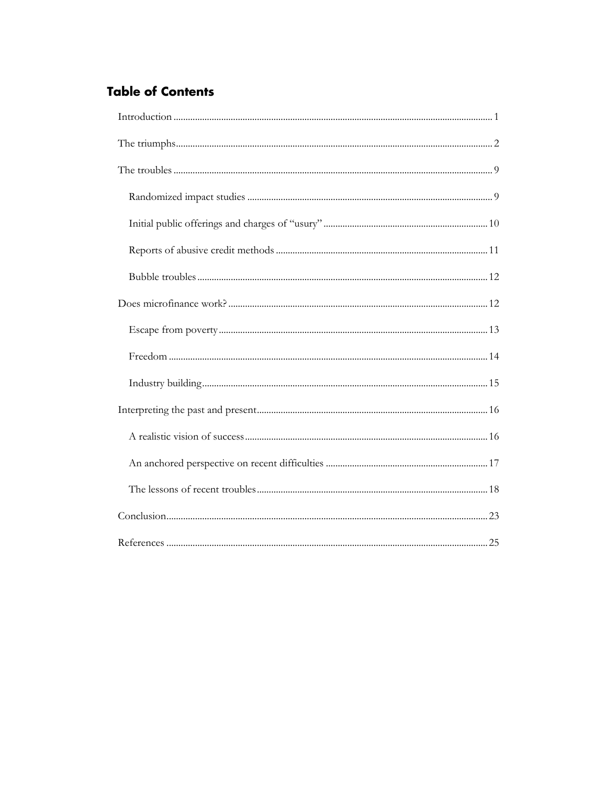## **Table of Contents**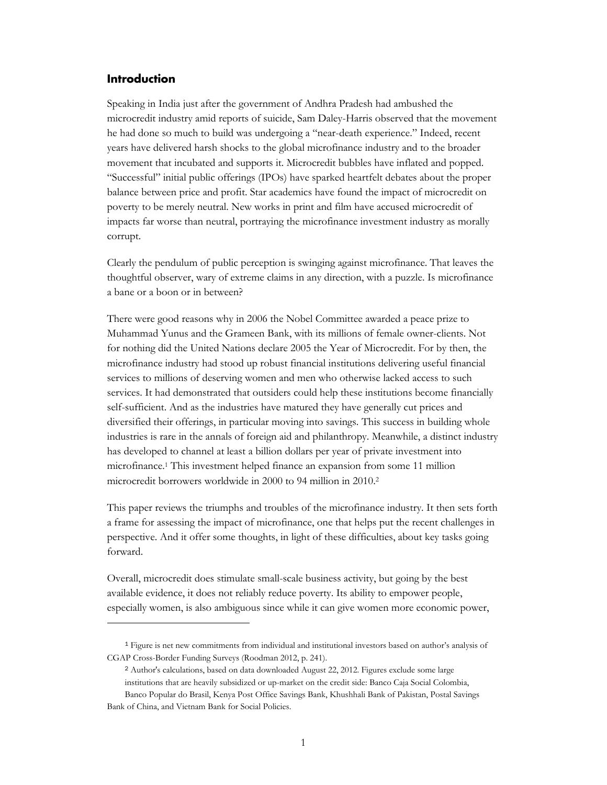#### <span id="page-2-0"></span>**Introduction**

 $\overline{a}$ 

Speaking in India just after the government of Andhra Pradesh had ambushed the microcredit industry amid reports of suicide, Sam Daley-Harris observed that the movement he had done so much to build was undergoing a "near-death experience." Indeed, recent years have delivered harsh shocks to the global microfinance industry and to the broader movement that incubated and supports it. Microcredit bubbles have inflated and popped. "Successful" initial public offerings (IPOs) have sparked heartfelt debates about the proper balance between price and profit. Star academics have found the impact of microcredit on poverty to be merely neutral. New works in print and film have accused microcredit of impacts far worse than neutral, portraying the microfinance investment industry as morally corrupt.

Clearly the pendulum of public perception is swinging against microfinance. That leaves the thoughtful observer, wary of extreme claims in any direction, with a puzzle. Is microfinance a bane or a boon or in between?

There were good reasons why in 2006 the Nobel Committee awarded a peace prize to Muhammad Yunus and the Grameen Bank, with its millions of female owner-clients. Not for nothing did the United Nations declare 2005 the Year of Microcredit. For by then, the microfinance industry had stood up robust financial institutions delivering useful financial services to millions of deserving women and men who otherwise lacked access to such services. It had demonstrated that outsiders could help these institutions become financially self-sufficient. And as the industries have matured they have generally cut prices and diversified their offerings, in particular moving into savings. This success in building whole industries is rare in the annals of foreign aid and philanthropy. Meanwhile, a distinct industry has developed to channel at least a billion dollars per year of private investment into microfinance.<sup>1</sup> This investment helped finance an expansion from some 11 million microcredit borrowers worldwide in 2000 to 94 million in 2010.<sup>2</sup>

This paper reviews the triumphs and troubles of the microfinance industry. It then sets forth a frame for assessing the impact of microfinance, one that helps put the recent challenges in perspective. And it offer some thoughts, in light of these difficulties, about key tasks going forward.

Overall, microcredit does stimulate small-scale business activity, but going by the best available evidence, it does not reliably reduce poverty. Its ability to empower people, especially women, is also ambiguous since while it can give women more economic power,

<sup>1</sup> Figure is net new commitments from individual and institutional investors based on author's analysis of CGAP Cross-Border Funding Surveys (Roodman 2012, p. 241).

<sup>2</sup> Author's calculations, based on data downloaded August 22, 2012. Figures exclude some large institutions that are heavily subsidized or up-market on the credit side: Banco Caja Social Colombia, Banco Popular do Brasil, Kenya Post Office Savings Bank, Khushhali Bank of Pakistan, Postal Savings Bank of China, and Vietnam Bank for Social Policies.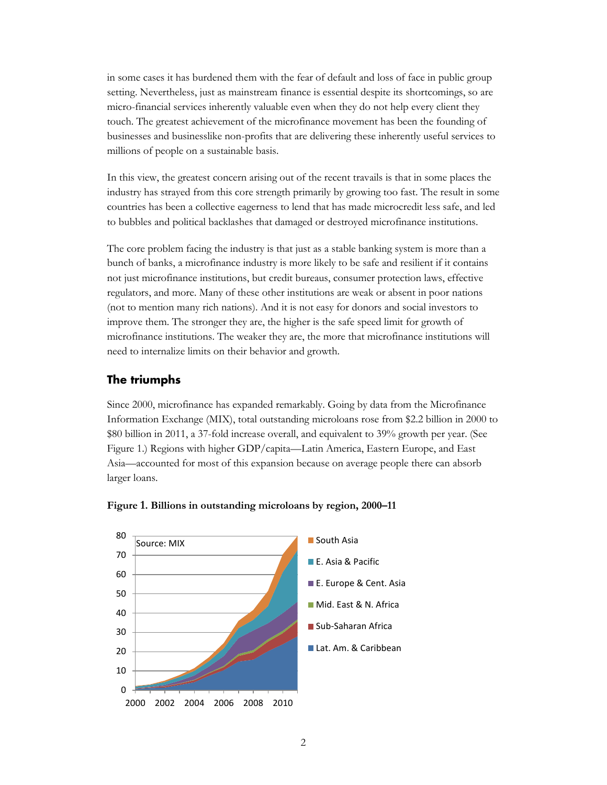in some cases it has burdened them with the fear of default and loss of face in public group setting. Nevertheless, just as mainstream finance is essential despite its shortcomings, so are micro-financial services inherently valuable even when they do not help every client they touch. The greatest achievement of the microfinance movement has been the founding of businesses and businesslike non-profits that are delivering these inherently useful services to millions of people on a sustainable basis.

In this view, the greatest concern arising out of the recent travails is that in some places the industry has strayed from this core strength primarily by growing too fast. The result in some countries has been a collective eagerness to lend that has made microcredit less safe, and led to bubbles and political backlashes that damaged or destroyed microfinance institutions.

The core problem facing the industry is that just as a stable banking system is more than a bunch of banks, a microfinance industry is more likely to be safe and resilient if it contains not just microfinance institutions, but credit bureaus, consumer protection laws, effective regulators, and more. Many of these other institutions are weak or absent in poor nations (not to mention many rich nations). And it is not easy for donors and social investors to improve them. The stronger they are, the higher is the safe speed limit for growth of microfinance institutions. The weaker they are, the more that microfinance institutions will need to internalize limits on their behavior and growth.

#### <span id="page-3-0"></span>**The triumphs**

Since 2000, microfinance has expanded remarkably. Going by data from the Microfinance Information Exchange (MIX), total outstanding microloans rose from \$2.2 billion in 2000 to \$80 billion in 2011, a 37-fold increase overall, and equivalent to 39% growth per year. (See [Figure 1.](#page-3-1)) Regions with higher GDP/capita—Latin America, Eastern Europe, and East Asia—accounted for most of this expansion because on average people there can absorb larger loans.



<span id="page-3-1"></span>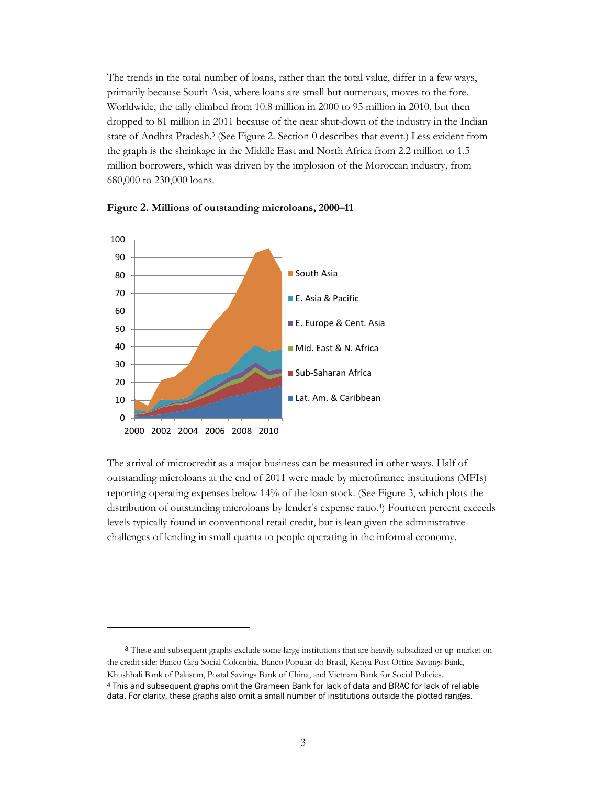The trends in the total number of loans, rather than the total value, differ in a few ways, primarily because South Asia, where loans are small but numerous, moves to the fore. Worldwide, the tally climbed from 10.8 million in 2000 to 95 million in 2010, but then dropped to 81 million in 2011 because of the near shut-down of the industry in the Indian state of Andhra Pradesh.<sup>3</sup> (See [Figure 2.](#page-4-0) Section [0](#page-10-0) describes that event.) Less evident from the graph is the shrinkage in the Middle East and North Africa from 2.2 million to 1.5 million borrowers, which was driven by the implosion of the Moroccan industry, from 680,000 to 230,000 loans.



 $\overline{a}$ 

<span id="page-4-0"></span>

The arrival of microcredit as a major business can be measured in other ways. Half of outstanding microloans at the end of 2011 were made by microfinance institutions (MFIs) reporting operating expenses below 14% of the loan stock. (See Figure 3, which plots the distribution of outstanding microloans by lender's expense ratio.<sup>4</sup>) Fourteen percent exceeds levels typically found in conventional retail credit, but is lean given the administrative challenges of lending in small quanta to people operating in the informal economy.

<sup>3</sup> These and subsequent graphs exclude some large institutions that are heavily subsidized or up-market on the credit side: Banco Caja Social Colombia, Banco Popular do Brasil, Kenya Post Office Savings Bank, Khushhali Bank of Pakistan, Postal Savings Bank of China, and Vietnam Bank for Social Policies. <sup>4</sup> This and subsequent graphs omit the Grameen Bank for lack of data and BRAC for lack of reliable data. For clarity, these graphs also omit a small number of institutions outside the plotted ranges.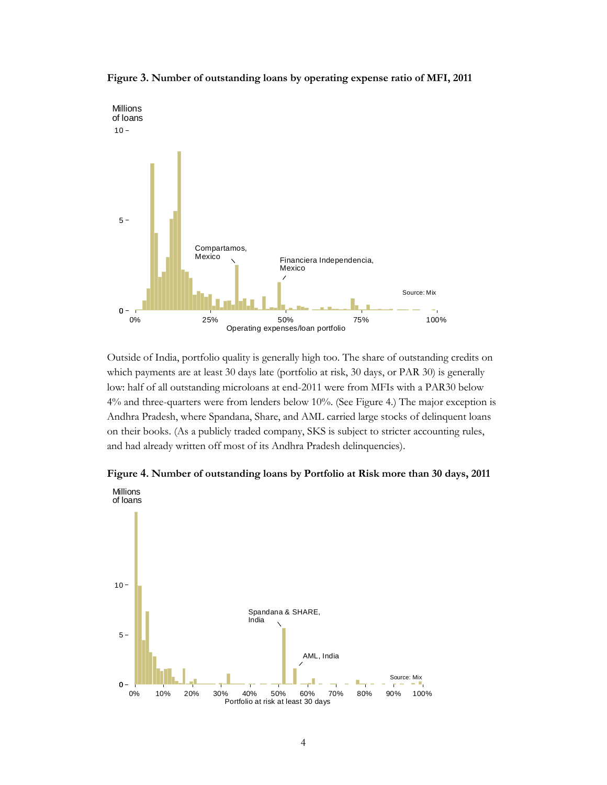

**Figure 3. Number of outstanding loans by operating expense ratio of MFI, 2011**

Outside of India, portfolio quality is generally high too. The share of outstanding credits on which payments are at least 30 days late (portfolio at risk, 30 days, or PAR 30) is generally low: half of all outstanding microloans at end-2011 were from MFIs with a PAR30 below 4% and three-quarters were from lenders below 10%. (See Figure 4.) The major exception is Andhra Pradesh, where Spandana, Share, and AML carried large stocks of delinquent loans on their books. (As a publicly traded company, SKS is subject to stricter accounting rules, and had already written off most of its Andhra Pradesh delinquencies).



**Figure 4. Number of outstanding loans by Portfolio at Risk more than 30 days, 2011**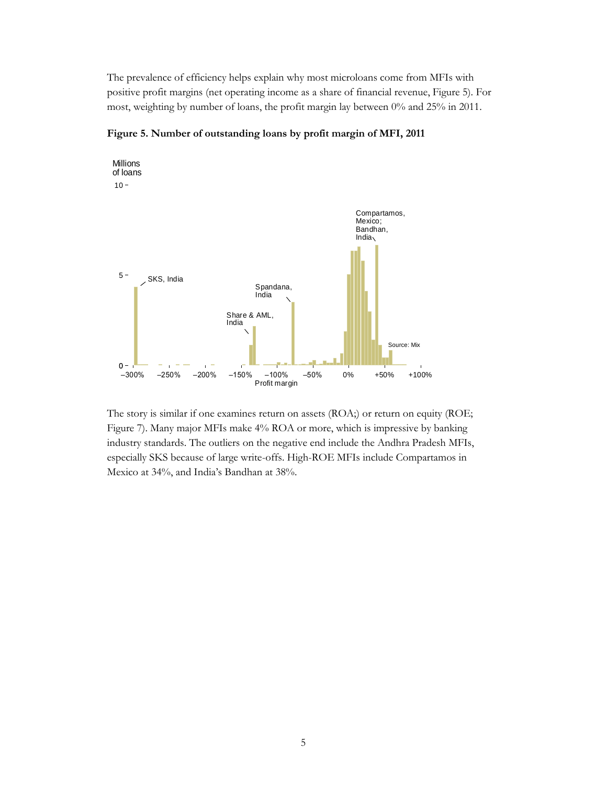The prevalence of efficiency helps explain why most microloans come from MFIs with positive profit margins (net operating income as a share of financial revenue, Figure 5). For most, weighting by number of loans, the profit margin lay between 0% and 25% in 2011.



**Figure 5. Number of outstanding loans by profit margin of MFI, 2011**

The story is similar if one examines return on assets (ROA;) or return on equity (ROE; [Figure 7\)](#page-7-0). Many major MFIs make 4% ROA or more, which is impressive by banking industry standards. The outliers on the negative end include the Andhra Pradesh MFIs, especially SKS because of large write-offs. High-ROE MFIs include Compartamos in Mexico at 34%, and India's Bandhan at 38%.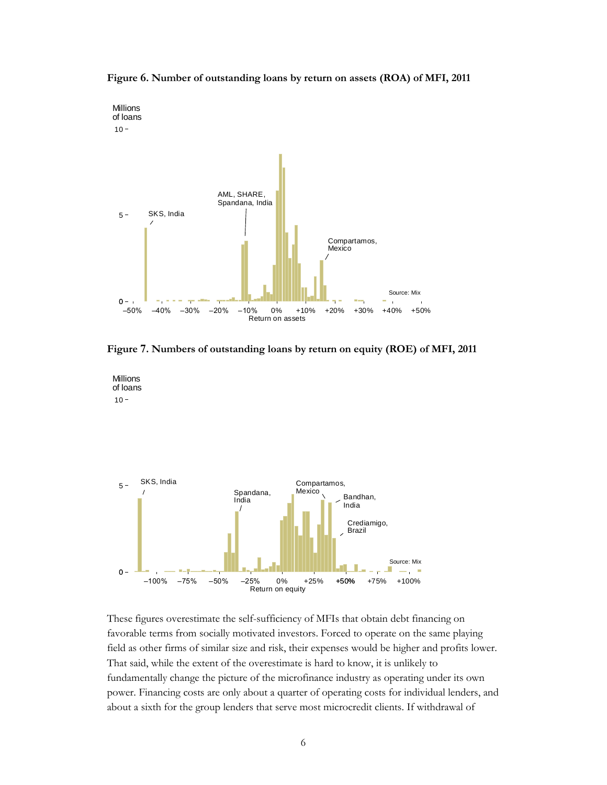

**Figure 6. Number of outstanding loans by return on assets (ROA) of MFI, 2011**

<span id="page-7-0"></span>**Figure 7. Numbers of outstanding loans by return on equity (ROE) of MFI, 2011**



These figures overestimate the self-sufficiency of MFIs that obtain debt financing on favorable terms from socially motivated investors. Forced to operate on the same playing field as other firms of similar size and risk, their expenses would be higher and profits lower. That said, while the extent of the overestimate is hard to know, it is unlikely to fundamentally change the picture of the microfinance industry as operating under its own power. Financing costs are only about a quarter of operating costs for individual lenders, and about a sixth for the group lenders that serve most microcredit clients. If withdrawal of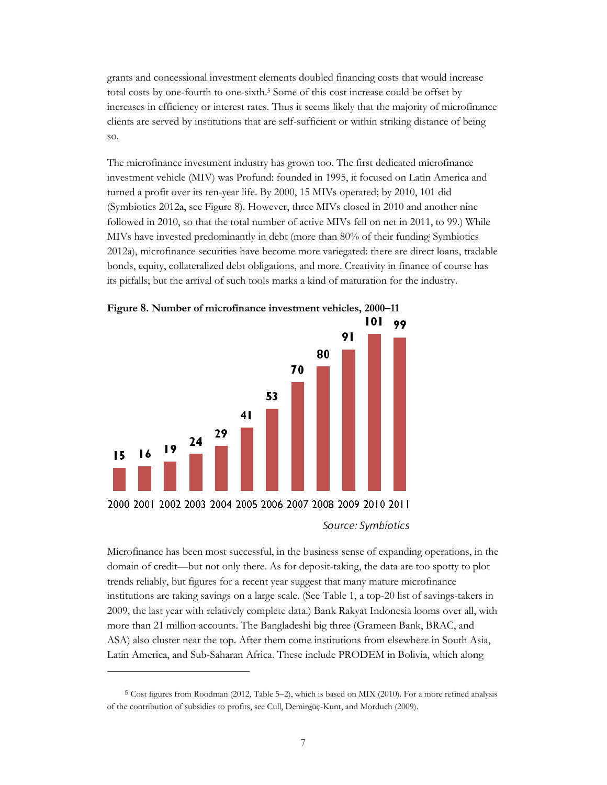grants and concessional investment elements doubled financing costs that would increase total costs by one-fourth to one-sixth.<sup>5</sup> Some of this cost increase could be offset by increases in efficiency or interest rates. Thus it seems likely that the majority of microfinance clients are served by institutions that are self-sufficient or within striking distance of being so.

The microfinance investment industry has grown too. The first dedicated microfinance investment vehicle (MIV) was Profund: founded in 1995, it focused on Latin America and turned a profit over its ten-year life. By 2000, 15 MIVs operated; by 2010, 101 did (Symbiotics 2012a, see [Figure 8\)](#page-8-0). However, three MIVs closed in 2010 and another nine followed in 2010, so that the total number of active MIVs fell on net in 2011, to 99.) While MIVs have invested predominantly in debt (more than 80% of their funding; Symbiotics 2012a), microfinance securities have become more variegated: there are direct loans, tradable bonds, equity, collateralized debt obligations, and more. Creativity in finance of course has its pitfalls; but the arrival of such tools marks a kind of maturation for the industry.

<span id="page-8-0"></span>

Microfinance has been most successful, in the business sense of expanding operations, in the domain of credit—but not only there. As for deposit-taking, the data are too spotty to plot trends reliably, but figures for a recent year suggest that many mature microfinance institutions are taking savings on a large scale. (See [Table 1,](#page-9-0) a top-20 list of savings-takers in 2009, the last year with relatively complete data.) Bank Rakyat Indonesia looms over all, with more than 21 million accounts. The Bangladeshi big three (Grameen Bank, BRAC, and ASA) also cluster near the top. After them come institutions from elsewhere in South Asia, Latin America, and Sub-Saharan Africa. These include PRODEM in Bolivia, which along

 $\ddot{\phantom{a}}$ 

<sup>5</sup> Cost figures from Roodman (2012, Table 5–2), which is based on MIX (2010). For a more refined analysis of the contribution of subsidies to profits, see Cull, Demirgüç-Kunt, and Morduch (2009).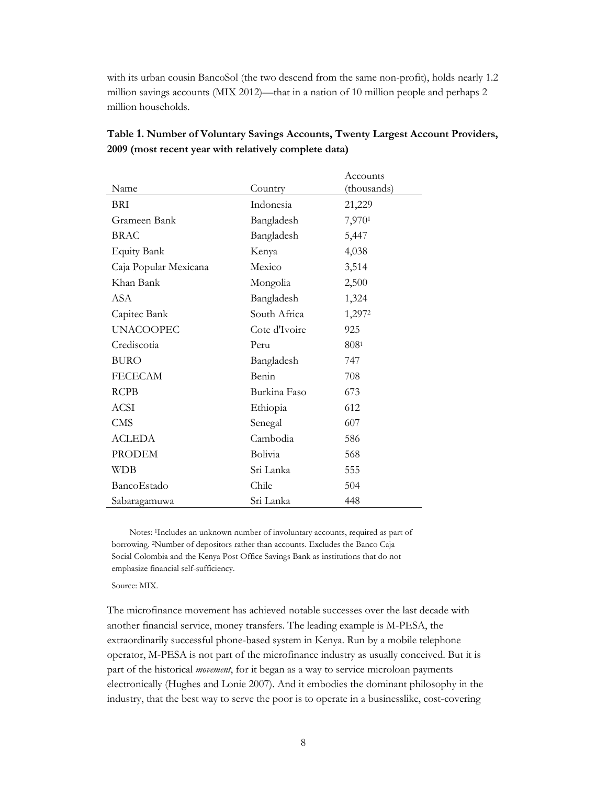with its urban cousin BancoSol (the two descend from the same non-profit), holds nearly 1.2 million savings accounts (MIX 2012)—that in a nation of 10 million people and perhaps 2 million households.

|                       |               | Accounts    |
|-----------------------|---------------|-------------|
| Name                  | Country       | (thousands) |
| BRI                   | Indonesia     | 21,229      |
| Grameen Bank          | Bangladesh    | 7,9701      |
| <b>BRAC</b>           | Bangladesh    | 5,447       |
| <b>Equity Bank</b>    | Kenya         | 4,038       |
| Caja Popular Mexicana | Mexico        | 3,514       |
| Khan Bank             | Mongolia      | 2,500       |
| ASA                   | Bangladesh    | 1,324       |
| Capitec Bank          | South Africa  | 1,2972      |
| <b>UNACOOPEC</b>      | Cote d'Ivoire | 925         |
| Crediscotia           | Peru          | 8081        |
| <b>BURO</b>           | Bangladesh    | 747         |
| <b>FECECAM</b>        | Benin         | 708         |
| <b>RCPB</b>           | Burkina Faso  | 673         |
| ACSI                  | Ethiopia      | 612         |
| <b>CMS</b>            | Senegal       | 607         |
| <b>ACLEDA</b>         | Cambodia      | 586         |
| <b>PRODEM</b>         | Bolivia       | 568         |
| <b>WDB</b>            | Sri Lanka     | 555         |
| BancoEstado           | Chile         | 504         |
| Sabaragamuwa          | Sri Lanka     | 448         |

<span id="page-9-0"></span>**Table 1. Number of Voluntary Savings Accounts, Twenty Largest Account Providers, 2009 (most recent year with relatively complete data)**

Notes: 1Includes an unknown number of involuntary accounts, required as part of borrowing. 2Number of depositors rather than accounts. Excludes the Banco Caja Social Colombia and the Kenya Post Office Savings Bank as institutions that do not emphasize financial self-sufficiency.

Source: MIX.

The microfinance movement has achieved notable successes over the last decade with another financial service, money transfers. The leading example is M-PESA, the extraordinarily successful phone-based system in Kenya. Run by a mobile telephone operator, M-PESA is not part of the microfinance industry as usually conceived. But it is part of the historical *movement*, for it began as a way to service microloan payments electronically (Hughes and Lonie 2007). And it embodies the dominant philosophy in the industry, that the best way to serve the poor is to operate in a businesslike, cost-covering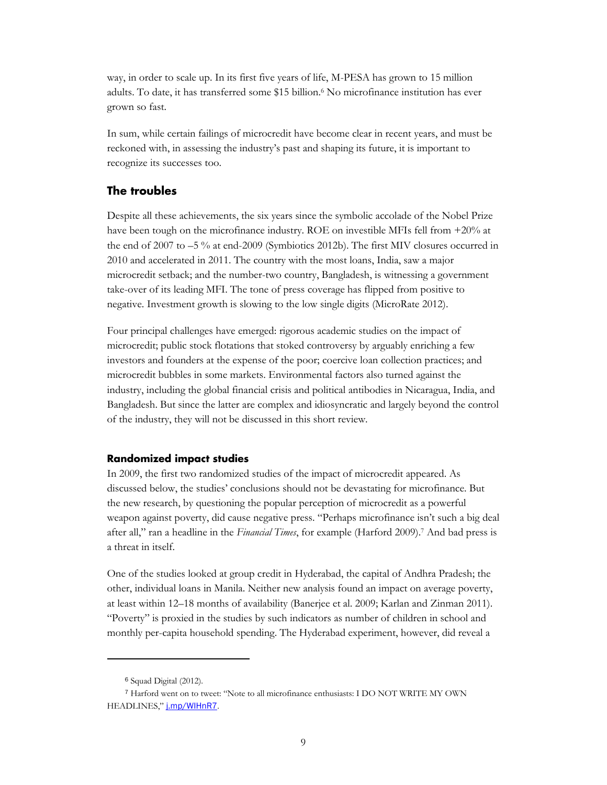way, in order to scale up. In its first five years of life, M-PESA has grown to 15 million adults. To date, it has transferred some \$15 billion.<sup>6</sup> No microfinance institution has ever grown so fast.

In sum, while certain failings of microcredit have become clear in recent years, and must be reckoned with, in assessing the industry's past and shaping its future, it is important to recognize its successes too.

#### <span id="page-10-0"></span>**The troubles**

Despite all these achievements, the six years since the symbolic accolade of the Nobel Prize have been tough on the microfinance industry. ROE on investible MFIs fell from +20% at the end of 2007 to –5 % at end-2009 (Symbiotics 2012b). The first MIV closures occurred in 2010 and accelerated in 2011. The country with the most loans, India, saw a major microcredit setback; and the number-two country, Bangladesh, is witnessing a government take-over of its leading MFI. The tone of press coverage has flipped from positive to negative. Investment growth is slowing to the low single digits (MicroRate 2012).

Four principal challenges have emerged: rigorous academic studies on the impact of microcredit; public stock flotations that stoked controversy by arguably enriching a few investors and founders at the expense of the poor; coercive loan collection practices; and microcredit bubbles in some markets. Environmental factors also turned against the industry, including the global financial crisis and political antibodies in Nicaragua, India, and Bangladesh. But since the latter are complex and idiosyncratic and largely beyond the control of the industry, they will not be discussed in this short review.

#### <span id="page-10-1"></span>**Randomized impact studies**

In 2009, the first two randomized studies of the impact of microcredit appeared. As discussed below, the studies' conclusions should not be devastating for microfinance. But the new research, by questioning the popular perception of microcredit as a powerful weapon against poverty, did cause negative press. "Perhaps microfinance isn't such a big deal after all," ran a headline in the *Financial Times*, for example (Harford 2009).<sup>7</sup> And bad press is a threat in itself.

One of the studies looked at group credit in Hyderabad, the capital of Andhra Pradesh; the other, individual loans in Manila. Neither new analysis found an impact on average poverty, at least within 12–18 months of availability (Banerjee et al. 2009; Karlan and Zinman 2011). "Poverty" is proxied in the studies by such indicators as number of children in school and monthly per-capita household spending. The Hyderabad experiment, however, did reveal a

 $\overline{a}$ 

<sup>6</sup> Squad Digital (2012).

<sup>7</sup> Harford went on to tweet: "Note to all microfinance enthusiasts: I DO NOT WRITE MY OWN HEADLINES," [j.mp/WIHnR7](http://j.mp/WIHnR7).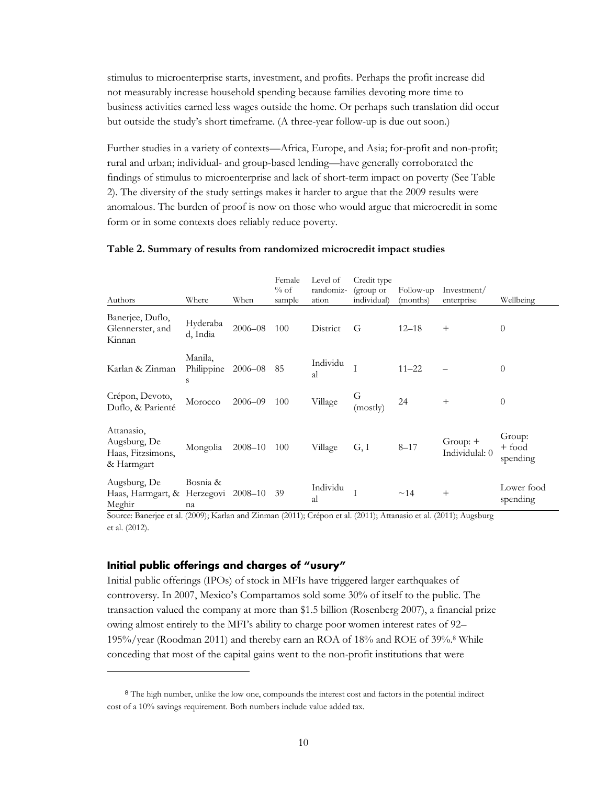stimulus to microenterprise starts, investment, and profits. Perhaps the profit increase did not measurably increase household spending because families devoting more time to business activities earned less wages outside the home. Or perhaps such translation did occur but outside the study's short timeframe. (A three-year follow-up is due out soon.)

Further studies in a variety of contexts—Africa, Europe, and Asia; for-profit and non-profit; rural and urban; individual- and group-based lending—have generally corroborated the findings of stimulus to microenterprise and lack of short-term impact on poverty (See Table 2). The diversity of the study settings makes it harder to argue that the 2009 results were anomalous. The burden of proof is now on those who would argue that microcredit in some form or in some contexts does reliably reduce poverty.

| Authors                                                       | Where                      | When        | Female<br>$%$ of<br>sample | Level of<br>randomiz-<br>ation | Credit type<br>(group or<br>individual) | Follow-up<br>(months) | Investment/<br>enterprise    | Wellbeing                    |
|---------------------------------------------------------------|----------------------------|-------------|----------------------------|--------------------------------|-----------------------------------------|-----------------------|------------------------------|------------------------------|
| Banerjee, Duflo,<br>Glennerster, and<br>Kinnan                | Hyderaba<br>d, India       | $2006 - 08$ | 100                        | District                       | G                                       | $12 - 18$             | $^{+}$                       | $\theta$                     |
| Karlan & Zinman                                               | Manila,<br>Philippine<br>S | $2006 - 08$ | 85                         | Individu<br>al                 |                                         | $11 - 22$             |                              | $\theta$                     |
| Crépon, Devoto,<br>Duflo, & Parienté                          | Morocco                    | $2006 - 09$ | 100                        | Village                        | G<br>(mostly)                           | 24                    | $^{+}$                       | $\theta$                     |
| Attanasio,<br>Augsburg, De<br>Haas, Fitzsimons,<br>& Harmgart | Mongolia                   | $2008 - 10$ | 100                        | Village                        | G, I                                    | $8 - 17$              | Group: $+$<br>Individulal: 0 | Group:<br>+ food<br>spending |
| Augsburg, De<br>Haas, Harmgart, & Herzegovi<br>Meghir         | Bosnia &<br>na             | $2008 - 10$ | 39                         | Individu<br>al                 | T                                       | ~14                   | $^{+}$                       | Lower food<br>spending       |

#### **Table 2. Summary of results from randomized microcredit impact studies**

<span id="page-11-0"></span>Source: Banerjee et al. (2009); Karlan and Zinman (2011); Crépon et al. (2011); Attanasio et al. (2011); Augsburg et al. (2012).

#### **Initial public offerings and charges of "usury"**

 $\ddot{\phantom{a}}$ 

Initial public offerings (IPOs) of stock in MFIs have triggered larger earthquakes of controversy. In 2007, Mexico's Compartamos sold some 30% of itself to the public. The transaction valued the company at more than \$1.5 billion (Rosenberg 2007), a financial prize owing almost entirely to the MFI's ability to charge poor women interest rates of 92– 195%/year (Roodman 2011) and thereby earn an ROA of 18% and ROE of 39%.<sup>8</sup> While conceding that most of the capital gains went to the non-profit institutions that were

<sup>8</sup> The high number, unlike the low one, compounds the interest cost and factors in the potential indirect cost of a 10% savings requirement. Both numbers include value added tax.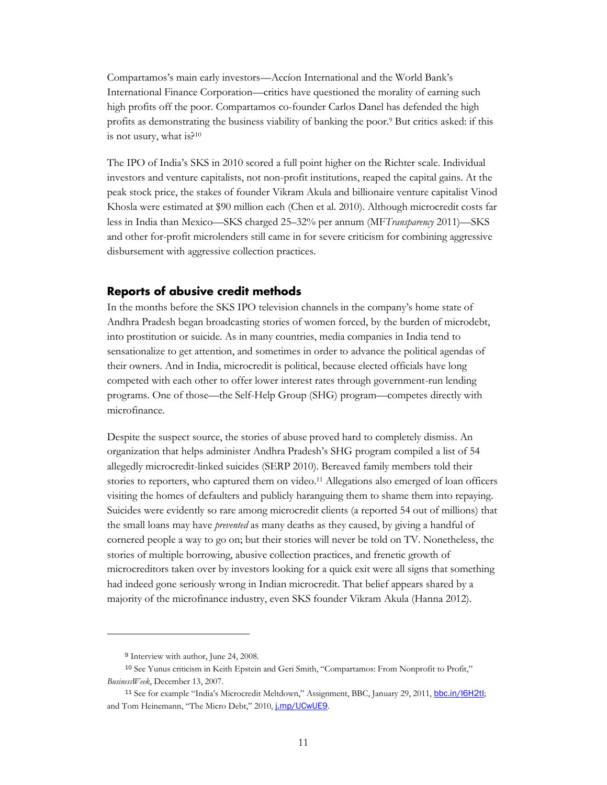Compartamos's main early investors—Accíon International and the World Bank's International Finance Corporation—critics have questioned the morality of earning such high profits off the poor. Compartamos co-founder Carlos Danel has defended the high profits as demonstrating the business viability of banking the poor.<sup>9</sup> But critics asked: if this is not usury, what is?<sup>10</sup>

The IPO of India's SKS in 2010 scored a full point higher on the Richter scale. Individual investors and venture capitalists, not non-profit institutions, reaped the capital gains. At the peak stock price, the stakes of founder Vikram Akula and billionaire venture capitalist Vinod Khosla were estimated at \$90 million each (Chen et al. 2010). Although microcredit costs far less in India than Mexico—SKS charged 25–32% per annum (MF*Transparency* 2011)—SKS and other for-profit microlenders still came in for severe criticism for combining aggressive disbursement with aggressive collection practices.

#### <span id="page-12-0"></span>**Reports of abusive credit methods**

In the months before the SKS IPO television channels in the company's home state of Andhra Pradesh began broadcasting stories of women forced, by the burden of microdebt, into prostitution or suicide. As in many countries, media companies in India tend to sensationalize to get attention, and sometimes in order to advance the political agendas of their owners. And in India, microcredit is political, because elected officials have long competed with each other to offer lower interest rates through government-run lending programs. One of those—the Self-Help Group (SHG) program—competes directly with microfinance.

Despite the suspect source, the stories of abuse proved hard to completely dismiss. An organization that helps administer Andhra Pradesh's SHG program compiled a list of 54 allegedly microcredit-linked suicides (SERP 2010). Bereaved family members told their stories to reporters, who captured them on video.<sup>11</sup> Allegations also emerged of loan officers visiting the homes of defaulters and publicly haranguing them to shame them into repaying. Suicides were evidently so rare among microcredit clients (a reported 54 out of millions) that the small loans may have *prevented* as many deaths as they caused, by giving a handful of cornered people a way to go on; but their stories will never be told on TV. Nonetheless, the stories of multiple borrowing, abusive collection practices, and frenetic growth of microcreditors taken over by investors looking for a quick exit were all signs that something had indeed gone seriously wrong in Indian microcredit. That belief appears shared by a majority of the microfinance industry, even SKS founder Vikram Akula (Hanna 2012).

 $\ddot{\phantom{a}}$ 

<sup>9</sup> Interview with author, June 24, 2008.

<sup>10</sup> See Yunus criticism in Keith Epstein and Geri Smith, "Compartamos: From Nonprofit to Profit," *BusinessWeek*, December 13, 2007.

<sup>11</sup> See for example "India's Microcredit Meltdown," Assignment, BBC, January 29, 2011, [bbc.in/l6H2tI](http://bbc.in/l6H2tI); and Tom Heinemann, "The Micro Debt," 2010, *[j.mp/UCwUE9](http://j.mp/UCwUE9)*.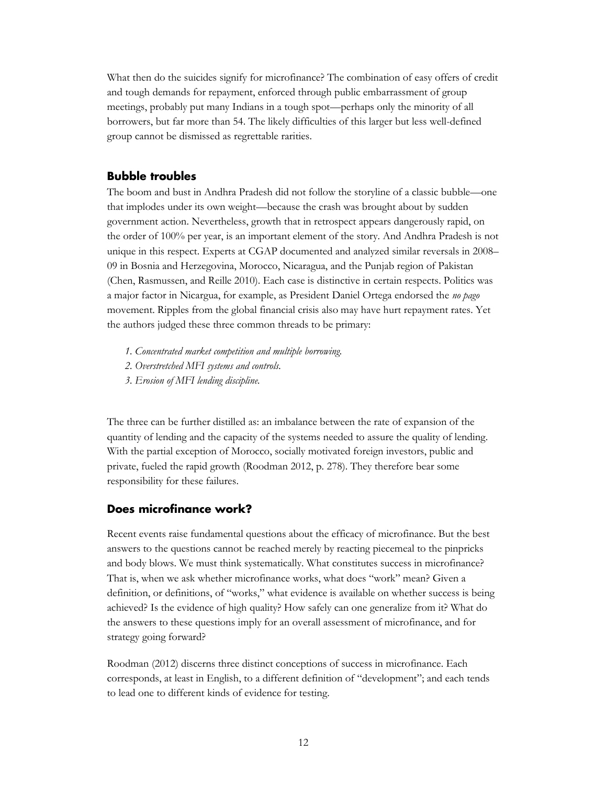What then do the suicides signify for microfinance? The combination of easy offers of credit and tough demands for repayment, enforced through public embarrassment of group meetings, probably put many Indians in a tough spot—perhaps only the minority of all borrowers, but far more than 54. The likely difficulties of this larger but less well-defined group cannot be dismissed as regrettable rarities.

#### <span id="page-13-0"></span>**Bubble troubles**

The boom and bust in Andhra Pradesh did not follow the storyline of a classic bubble—one that implodes under its own weight—because the crash was brought about by sudden government action. Nevertheless, growth that in retrospect appears dangerously rapid, on the order of 100% per year, is an important element of the story. And Andhra Pradesh is not unique in this respect. Experts at CGAP documented and analyzed similar reversals in 2008– 09 in Bosnia and Herzegovina, Morocco, Nicaragua, and the Punjab region of Pakistan (Chen, Rasmussen, and Reille 2010). Each case is distinctive in certain respects. Politics was a major factor in Nicargua, for example, as President Daniel Ortega endorsed the *no pago* movement. Ripples from the global financial crisis also may have hurt repayment rates. Yet the authors judged these three common threads to be primary:

- *1. Concentrated market competition and multiple borrowing.*
- *2. Overstretched MFI systems and controls.*
- *3. Erosion of MFI lending discipline.*

The three can be further distilled as: an imbalance between the rate of expansion of the quantity of lending and the capacity of the systems needed to assure the quality of lending. With the partial exception of Morocco, socially motivated foreign investors, public and private, fueled the rapid growth (Roodman 2012, p. 278). They therefore bear some responsibility for these failures.

#### <span id="page-13-1"></span>**Does microfinance work?**

Recent events raise fundamental questions about the efficacy of microfinance. But the best answers to the questions cannot be reached merely by reacting piecemeal to the pinpricks and body blows. We must think systematically. What constitutes success in microfinance? That is, when we ask whether microfinance works, what does "work" mean? Given a definition, or definitions, of "works," what evidence is available on whether success is being achieved? Is the evidence of high quality? How safely can one generalize from it? What do the answers to these questions imply for an overall assessment of microfinance, and for strategy going forward?

Roodman (2012) discerns three distinct conceptions of success in microfinance. Each corresponds, at least in English, to a different definition of "development"; and each tends to lead one to different kinds of evidence for testing.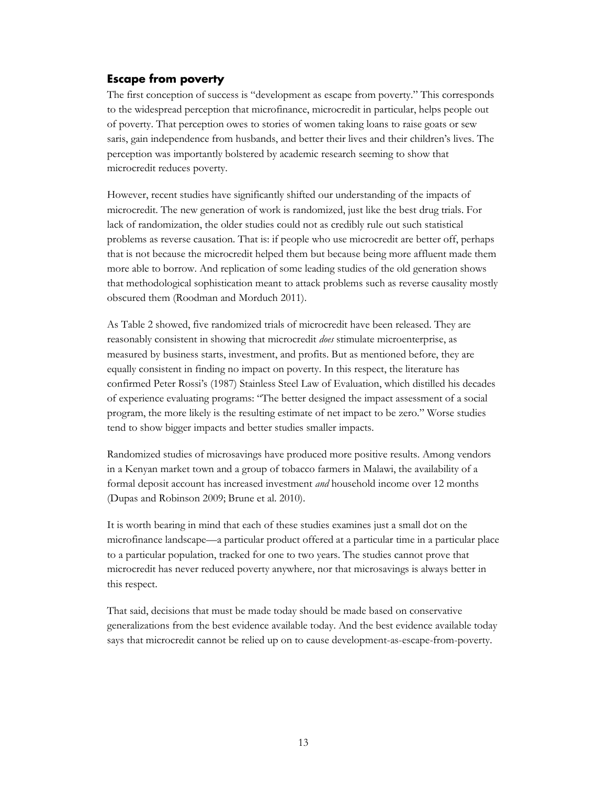#### <span id="page-14-0"></span>**Escape from poverty**

The first conception of success is "development as escape from poverty." This corresponds to the widespread perception that microfinance, microcredit in particular, helps people out of poverty. That perception owes to stories of women taking loans to raise goats or sew saris, gain independence from husbands, and better their lives and their children's lives. The perception was importantly bolstered by academic research seeming to show that microcredit reduces poverty.

However, recent studies have significantly shifted our understanding of the impacts of microcredit. The new generation of work is randomized, just like the best drug trials. For lack of randomization, the older studies could not as credibly rule out such statistical problems as reverse causation. That is: if people who use microcredit are better off, perhaps that is not because the microcredit helped them but because being more affluent made them more able to borrow. And replication of some leading studies of the old generation shows that methodological sophistication meant to attack problems such as reverse causality mostly obscured them (Roodman and Morduch 2011).

As Table 2 showed, five randomized trials of microcredit have been released. They are reasonably consistent in showing that microcredit *does* stimulate microenterprise, as measured by business starts, investment, and profits. But as mentioned before, they are equally consistent in finding no impact on poverty. In this respect, the literature has confirmed Peter Rossi's (1987) Stainless Steel Law of Evaluation, which distilled his decades of experience evaluating programs: "The better designed the impact assessment of a social program, the more likely is the resulting estimate of net impact to be zero." Worse studies tend to show bigger impacts and better studies smaller impacts.

Randomized studies of microsavings have produced more positive results. Among vendors in a Kenyan market town and a group of tobacco farmers in Malawi, the availability of a formal deposit account has increased investment *and* household income over 12 months (Dupas and Robinson 2009; Brune et al. 2010).

It is worth bearing in mind that each of these studies examines just a small dot on the microfinance landscape—a particular product offered at a particular time in a particular place to a particular population, tracked for one to two years. The studies cannot prove that microcredit has never reduced poverty anywhere, nor that microsavings is always better in this respect.

That said, decisions that must be made today should be made based on conservative generalizations from the best evidence available today. And the best evidence available today says that microcredit cannot be relied up on to cause development-as-escape-from-poverty.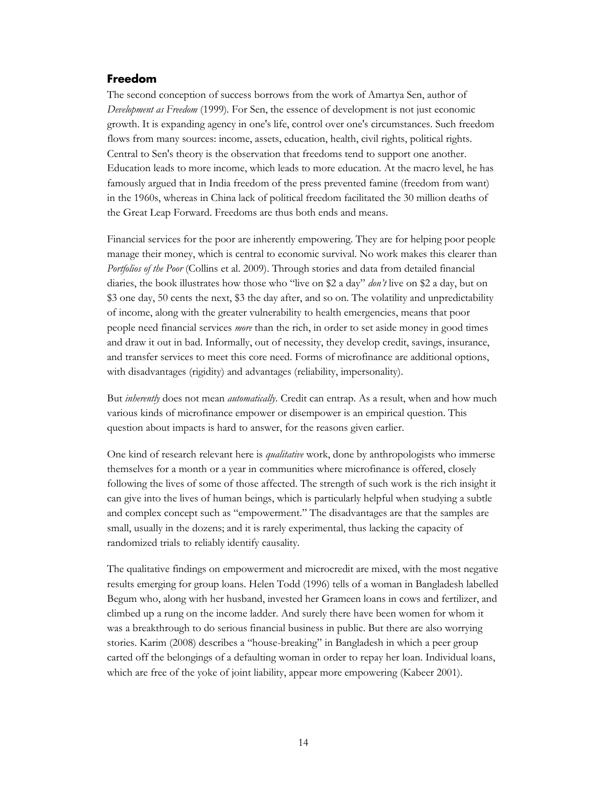#### <span id="page-15-0"></span>**Freedom**

The second conception of success borrows from the work of Amartya Sen, author of *Development as Freedom* (1999)*.* For Sen, the essence of development is not just economic growth. It is expanding agency in one's life, control over one's circumstances. Such freedom flows from many sources: income, assets, education, health, civil rights, political rights. Central to Sen's theory is the observation that freedoms tend to support one another. Education leads to more income, which leads to more education. At the macro level, he has famously argued that in India freedom of the press prevented famine (freedom from want) in the 1960s, whereas in China lack of political freedom facilitated the 30 million deaths of the Great Leap Forward. Freedoms are thus both ends and means.

Financial services for the poor are inherently empowering. They are for helping poor people manage their money, which is central to economic survival. No work makes this clearer than *Portfolios of the Poor* (Collins et al. 2009). Through stories and data from detailed financial diaries, the book illustrates how those who "live on \$2 a day" *don't* live on \$2 a day, but on \$3 one day, 50 cents the next, \$3 the day after, and so on. The volatility and unpredictability of income, along with the greater vulnerability to health emergencies, means that poor people need financial services *more* than the rich, in order to set aside money in good times and draw it out in bad. Informally, out of necessity, they develop credit, savings, insurance, and transfer services to meet this core need. Forms of microfinance are additional options, with disadvantages (rigidity) and advantages (reliability, impersonality).

But *inherently* does not mean *automatically*. Credit can entrap. As a result, when and how much various kinds of microfinance empower or disempower is an empirical question. This question about impacts is hard to answer, for the reasons given earlier.

One kind of research relevant here is *qualitative* work, done by anthropologists who immerse themselves for a month or a year in communities where microfinance is offered, closely following the lives of some of those affected. The strength of such work is the rich insight it can give into the lives of human beings, which is particularly helpful when studying a subtle and complex concept such as "empowerment." The disadvantages are that the samples are small, usually in the dozens; and it is rarely experimental, thus lacking the capacity of randomized trials to reliably identify causality.

The qualitative findings on empowerment and microcredit are mixed, with the most negative results emerging for group loans. Helen Todd (1996) tells of a woman in Bangladesh labelled Begum who, along with her husband, invested her Grameen loans in cows and fertilizer, and climbed up a rung on the income ladder. And surely there have been women for whom it was a breakthrough to do serious financial business in public. But there are also worrying stories. Karim (2008) describes a "house-breaking" in Bangladesh in which a peer group carted off the belongings of a defaulting woman in order to repay her loan. Individual loans, which are free of the yoke of joint liability, appear more empowering (Kabeer 2001).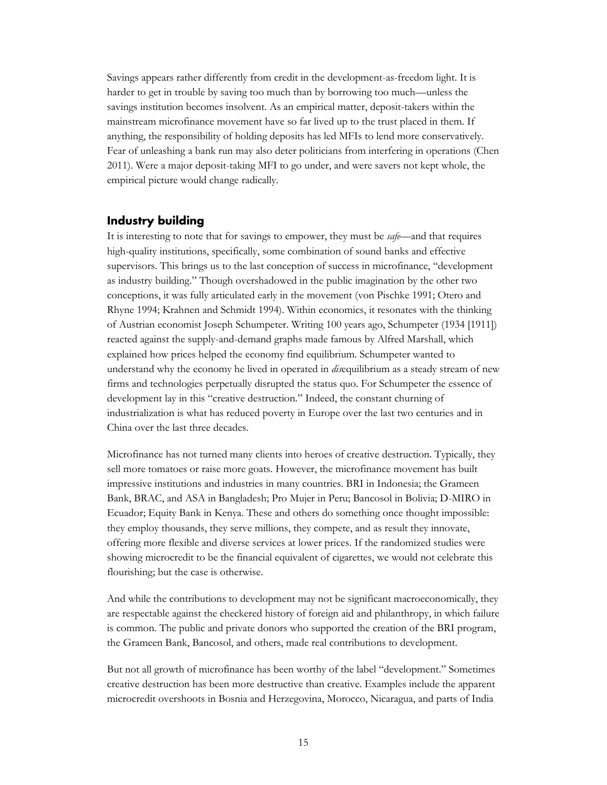Savings appears rather differently from credit in the development-as-freedom light. It is harder to get in trouble by saving too much than by borrowing too much—unless the savings institution becomes insolvent. As an empirical matter, deposit-takers within the mainstream microfinance movement have so far lived up to the trust placed in them. If anything, the responsibility of holding deposits has led MFIs to lend more conservatively. Fear of unleashing a bank run may also deter politicians from interfering in operations (Chen 2011). Were a major deposit-taking MFI to go under, and were savers not kept whole, the empirical picture would change radically.

#### <span id="page-16-0"></span>**Industry building**

It is interesting to note that for savings to empower, they must be *safe*—and that requires high-quality institutions, specifically, some combination of sound banks and effective supervisors. This brings us to the last conception of success in microfinance, "development as industry building." Though overshadowed in the public imagination by the other two conceptions, it was fully articulated early in the movement (von Pischke 1991; Otero and Rhyne 1994; Krahnen and Schmidt 1994). Within economics, it resonates with the thinking of Austrian economist Joseph Schumpeter. Writing 100 years ago, Schumpeter (1934 [1911]) reacted against the supply-and-demand graphs made famous by Alfred Marshall, which explained how prices helped the economy find equilibrium. Schumpeter wanted to understand why the economy he lived in operated in *dis*equilibrium as a steady stream of new firms and technologies perpetually disrupted the status quo. For Schumpeter the essence of development lay in this "creative destruction." Indeed, the constant churning of industrialization is what has reduced poverty in Europe over the last two centuries and in China over the last three decades.

Microfinance has not turned many clients into heroes of creative destruction. Typically, they sell more tomatoes or raise more goats. However, the microfinance movement has built impressive institutions and industries in many countries. BRI in Indonesia; the Grameen Bank, BRAC, and ASA in Bangladesh; Pro Mujer in Peru; Bancosol in Bolivia; D-MIRO in Ecuador; Equity Bank in Kenya. These and others do something once thought impossible: they employ thousands, they serve millions, they compete, and as result they innovate, offering more flexible and diverse services at lower prices. If the randomized studies were showing microcredit to be the financial equivalent of cigarettes, we would not celebrate this flourishing; but the case is otherwise.

And while the contributions to development may not be significant macroeconomically, they are respectable against the checkered history of foreign aid and philanthropy, in which failure is common. The public and private donors who supported the creation of the BRI program, the Grameen Bank, Bancosol, and others, made real contributions to development.

But not all growth of microfinance has been worthy of the label "development." Sometimes creative destruction has been more destructive than creative. Examples include the apparent microcredit overshoots in Bosnia and Herzegovina, Morocco, Nicaragua, and parts of India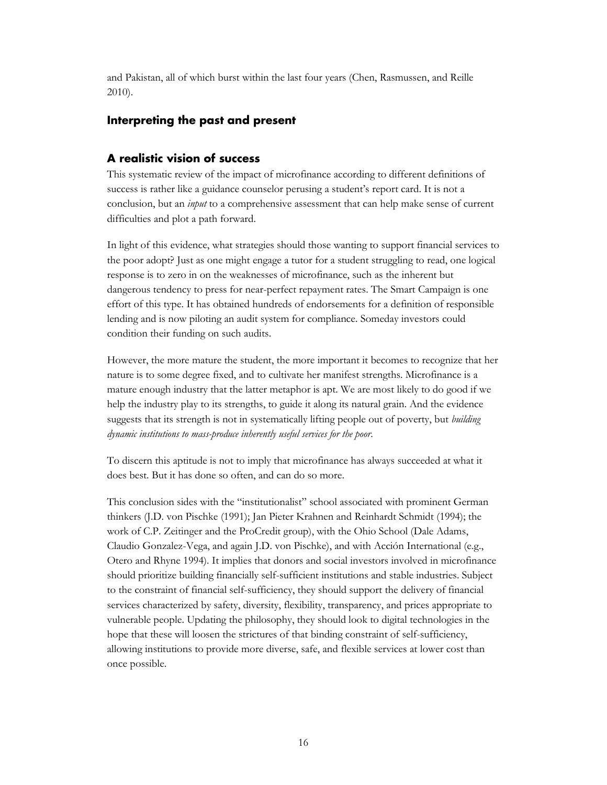and Pakistan, all of which burst within the last four years (Chen, Rasmussen, and Reille 2010).

#### <span id="page-17-0"></span>**Interpreting the past and present**

#### <span id="page-17-1"></span>**A realistic vision of success**

This systematic review of the impact of microfinance according to different definitions of success is rather like a guidance counselor perusing a student's report card. It is not a conclusion, but an *input* to a comprehensive assessment that can help make sense of current difficulties and plot a path forward.

In light of this evidence, what strategies should those wanting to support financial services to the poor adopt? Just as one might engage a tutor for a student struggling to read, one logical response is to zero in on the weaknesses of microfinance, such as the inherent but dangerous tendency to press for near-perfect repayment rates. The Smart Campaign is one effort of this type. It has obtained hundreds of endorsements for a definition of responsible lending and is now piloting an audit system for compliance. Someday investors could condition their funding on such audits.

However, the more mature the student, the more important it becomes to recognize that her nature is to some degree fixed, and to cultivate her manifest strengths. Microfinance is a mature enough industry that the latter metaphor is apt. We are most likely to do good if we help the industry play to its strengths, to guide it along its natural grain. And the evidence suggests that its strength is not in systematically lifting people out of poverty, but *building dynamic institutions to mass-produce inherently useful services for the poor*.

To discern this aptitude is not to imply that microfinance has always succeeded at what it does best. But it has done so often, and can do so more.

This conclusion sides with the "institutionalist" school associated with prominent German thinkers (J.D. von Pischke (1991); Jan Pieter Krahnen and Reinhardt Schmidt (1994); the work of C.P. Zeitinger and the ProCredit group), with the Ohio School (Dale Adams, Claudio Gonzalez-Vega, and again J.D. von Pischke), and with Acción International (e.g., Otero and Rhyne 1994). It implies that donors and social investors involved in microfinance should prioritize building financially self-sufficient institutions and stable industries. Subject to the constraint of financial self-sufficiency, they should support the delivery of financial services characterized by safety, diversity, flexibility, transparency, and prices appropriate to vulnerable people. Updating the philosophy, they should look to digital technologies in the hope that these will loosen the strictures of that binding constraint of self-sufficiency, allowing institutions to provide more diverse, safe, and flexible services at lower cost than once possible.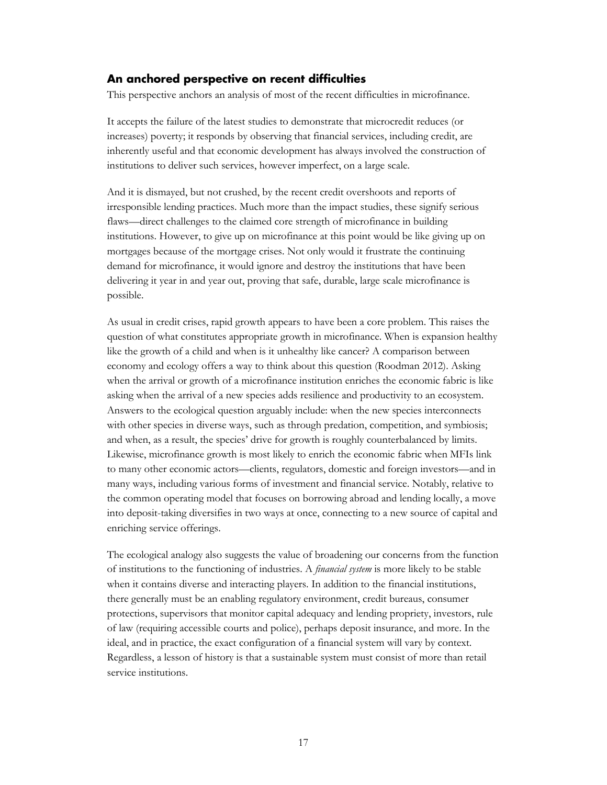#### <span id="page-18-0"></span>**An anchored perspective on recent difficulties**

This perspective anchors an analysis of most of the recent difficulties in microfinance.

It accepts the failure of the latest studies to demonstrate that microcredit reduces (or increases) poverty; it responds by observing that financial services, including credit, are inherently useful and that economic development has always involved the construction of institutions to deliver such services, however imperfect, on a large scale.

And it is dismayed, but not crushed, by the recent credit overshoots and reports of irresponsible lending practices. Much more than the impact studies, these signify serious flaws—direct challenges to the claimed core strength of microfinance in building institutions. However, to give up on microfinance at this point would be like giving up on mortgages because of the mortgage crises. Not only would it frustrate the continuing demand for microfinance, it would ignore and destroy the institutions that have been delivering it year in and year out, proving that safe, durable, large scale microfinance is possible.

As usual in credit crises, rapid growth appears to have been a core problem. This raises the question of what constitutes appropriate growth in microfinance. When is expansion healthy like the growth of a child and when is it unhealthy like cancer? A comparison between economy and ecology offers a way to think about this question (Roodman 2012). Asking when the arrival or growth of a microfinance institution enriches the economic fabric is like asking when the arrival of a new species adds resilience and productivity to an ecosystem. Answers to the ecological question arguably include: when the new species interconnects with other species in diverse ways, such as through predation, competition, and symbiosis; and when, as a result, the species' drive for growth is roughly counterbalanced by limits. Likewise, microfinance growth is most likely to enrich the economic fabric when MFIs link to many other economic actors—clients, regulators, domestic and foreign investors—and in many ways, including various forms of investment and financial service. Notably, relative to the common operating model that focuses on borrowing abroad and lending locally, a move into deposit-taking diversifies in two ways at once, connecting to a new source of capital and enriching service offerings.

The ecological analogy also suggests the value of broadening our concerns from the function of institutions to the functioning of industries. A *financial system* is more likely to be stable when it contains diverse and interacting players. In addition to the financial institutions, there generally must be an enabling regulatory environment, credit bureaus, consumer protections, supervisors that monitor capital adequacy and lending propriety, investors, rule of law (requiring accessible courts and police), perhaps deposit insurance, and more. In the ideal, and in practice, the exact configuration of a financial system will vary by context. Regardless, a lesson of history is that a sustainable system must consist of more than retail service institutions.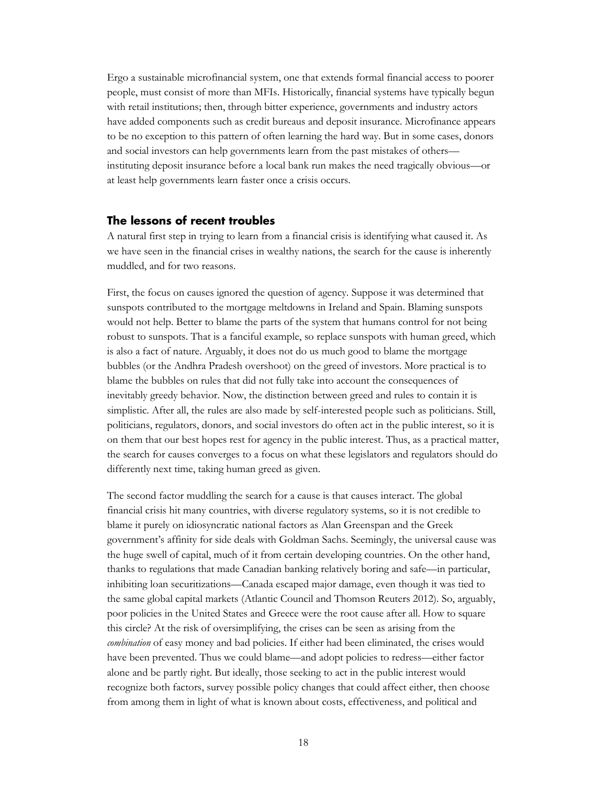Ergo a sustainable microfinancial system, one that extends formal financial access to poorer people, must consist of more than MFIs. Historically, financial systems have typically begun with retail institutions; then, through bitter experience, governments and industry actors have added components such as credit bureaus and deposit insurance. Microfinance appears to be no exception to this pattern of often learning the hard way. But in some cases, donors and social investors can help governments learn from the past mistakes of others instituting deposit insurance before a local bank run makes the need tragically obvious—or at least help governments learn faster once a crisis occurs.

#### <span id="page-19-0"></span>**The lessons of recent troubles**

A natural first step in trying to learn from a financial crisis is identifying what caused it. As we have seen in the financial crises in wealthy nations, the search for the cause is inherently muddled, and for two reasons.

First, the focus on causes ignored the question of agency. Suppose it was determined that sunspots contributed to the mortgage meltdowns in Ireland and Spain. Blaming sunspots would not help. Better to blame the parts of the system that humans control for not being robust to sunspots. That is a fanciful example, so replace sunspots with human greed, which is also a fact of nature. Arguably, it does not do us much good to blame the mortgage bubbles (or the Andhra Pradesh overshoot) on the greed of investors. More practical is to blame the bubbles on rules that did not fully take into account the consequences of inevitably greedy behavior. Now, the distinction between greed and rules to contain it is simplistic. After all, the rules are also made by self-interested people such as politicians. Still, politicians, regulators, donors, and social investors do often act in the public interest, so it is on them that our best hopes rest for agency in the public interest. Thus, as a practical matter, the search for causes converges to a focus on what these legislators and regulators should do differently next time, taking human greed as given.

The second factor muddling the search for a cause is that causes interact. The global financial crisis hit many countries, with diverse regulatory systems, so it is not credible to blame it purely on idiosyncratic national factors as Alan Greenspan and the Greek government's affinity for side deals with Goldman Sachs. Seemingly, the universal cause was the huge swell of capital, much of it from certain developing countries. On the other hand, thanks to regulations that made Canadian banking relatively boring and safe—in particular, inhibiting loan securitizations—Canada escaped major damage, even though it was tied to the same global capital markets (Atlantic Council and Thomson Reuters 2012). So, arguably, poor policies in the United States and Greece were the root cause after all. How to square this circle? At the risk of oversimplifying, the crises can be seen as arising from the *combination* of easy money and bad policies. If either had been eliminated, the crises would have been prevented. Thus we could blame—and adopt policies to redress—either factor alone and be partly right. But ideally, those seeking to act in the public interest would recognize both factors, survey possible policy changes that could affect either, then choose from among them in light of what is known about costs, effectiveness, and political and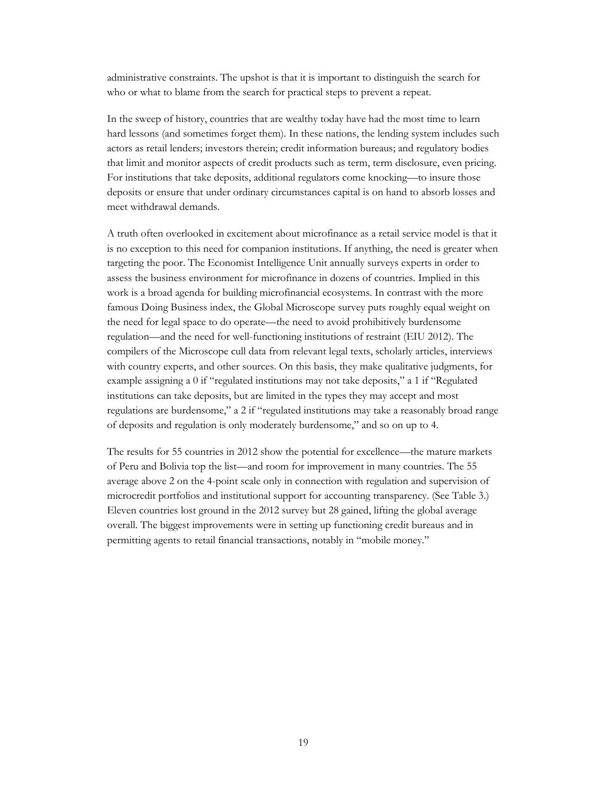administrative constraints. The upshot is that it is important to distinguish the search for who or what to blame from the search for practical steps to prevent a repeat.

In the sweep of history, countries that are wealthy today have had the most time to learn hard lessons (and sometimes forget them). In these nations, the lending system includes such actors as retail lenders; investors therein; credit information bureaus; and regulatory bodies that limit and monitor aspects of credit products such as term, term disclosure, even pricing. For institutions that take deposits, additional regulators come knocking—to insure those deposits or ensure that under ordinary circumstances capital is on hand to absorb losses and meet withdrawal demands.

A truth often overlooked in excitement about microfinance as a retail service model is that it is no exception to this need for companion institutions. If anything, the need is greater when targeting the poor. The Economist Intelligence Unit annually surveys experts in order to assess the business environment for microfinance in dozens of countries. Implied in this work is a broad agenda for building microfinancial ecosystems. In contrast with the more famous Doing Business index, the Global Microscope survey puts roughly equal weight on the need for legal space to do operate—the need to avoid prohibitively burdensome regulation—and the need for well-functioning institutions of restraint (EIU 2012). The compilers of the Microscope cull data from relevant legal texts, scholarly articles, interviews with country experts, and other sources. On this basis, they make qualitative judgments, for example assigning a 0 if "regulated institutions may not take deposits," a 1 if "Regulated institutions can take deposits, but are limited in the types they may accept and most regulations are burdensome," a 2 if "regulated institutions may take a reasonably broad range of deposits and regulation is only moderately burdensome," and so on up to 4.

The results for 55 countries in 2012 show the potential for excellence—the mature markets of Peru and Bolivia top the list—and room for improvement in many countries. The 55 average above 2 on the 4-point scale only in connection with regulation and supervision of microcredit portfolios and institutional support for accounting transparency. (See Table 3.) Eleven countries lost ground in the 2012 survey but 28 gained, lifting the global average overall. The biggest improvements were in setting up functioning credit bureaus and in permitting agents to retail financial transactions, notably in "mobile money."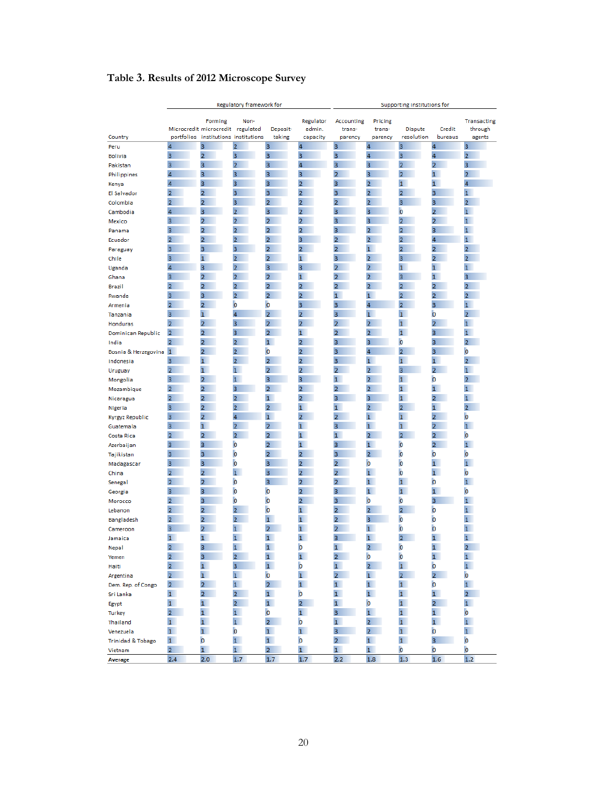|                              | Regulatory framework for |                                              |                         |                         | Supporting institutions for |                         |                         |                         |                         |                         |
|------------------------------|--------------------------|----------------------------------------------|-------------------------|-------------------------|-----------------------------|-------------------------|-------------------------|-------------------------|-------------------------|-------------------------|
|                              |                          |                                              |                         |                         |                             |                         |                         |                         |                         |                         |
|                              |                          | Forming<br>Microcredit microcredit regulated | Non-                    | Deposit-                | Regulator<br>admin.         | Accounting<br>trans-    | Pricing<br>trans-       | <b>Dispute</b>          | Credit                  | Transacting<br>through  |
| Country                      |                          | portfolios institutions institutions         |                         | taking                  | capacity                    | parency                 | parency                 | resolution              | bureaus                 | agents                  |
| Peru                         | 4                        | 3                                            | $\overline{2}$          | 3                       | 4                           | 3                       | 4                       | 3                       | 4                       | 3                       |
| <b>Bolivia</b>               | $\overline{3}$           | $\overline{2}$                               | $\overline{\mathbf{3}}$ | $\overline{\mathbf{3}}$ | $\overline{\mathbf{3}}$     | $\overline{3}$          | $\overline{4}$          | $\overline{\mathbf{3}}$ | $\overline{4}$          | $\overline{2}$          |
| Pakistan                     | 3                        | $\overline{\mathbf{3}}$                      | $\overline{2}$          | 3                       | $\overline{4}$              | $\overline{\mathbf{3}}$ | $\overline{\mathbf{3}}$ | $\overline{2}$          | $\overline{2}$          | $\overline{\mathbf{3}}$ |
| Philippines                  | $\overline{4}$           | $\overline{3}$                               | $\overline{\mathbf{3}}$ | $\overline{\mathbf{3}}$ | $\overline{\mathbf{3}}$     | $\overline{2}$          | $\overline{\mathbf{3}}$ | $\overline{2}$          | $\overline{1}$          | $\overline{2}$          |
| Kenya                        | $\overline{4}$           | $\overline{\mathbf{3}}$                      | 3                       | $\overline{\mathbf{3}}$ | $\overline{2}$              | $\overline{3}$          | $\overline{2}$          | $\overline{1}$          | $\overline{1}$          | $\overline{4}$          |
| El Salvador                  | $\overline{2}$           | $\overline{2}$                               | 3                       | 3                       | $\overline{2}$              | 3                       | $\overline{2}$          | $\overline{2}$          | 3                       | $\mathbf{1}$            |
| Colombia                     | $\overline{2}$           | $\overline{2}$                               | $\overline{\mathbf{3}}$ | $\overline{2}$          | $\overline{2}$              | $\overline{2}$          | $\overline{2}$          | $\overline{\mathbf{3}}$ | $\overline{\mathbf{3}}$ | $\overline{2}$          |
| Cambodia                     | $\overline{4}$           | $\overline{3}$                               | $\overline{2}$          | $\overline{\mathbf{3}}$ | $\overline{2}$              | $\overline{\mathbf{3}}$ | 3                       | $\overline{0}$          | $\overline{2}$          | $\overline{1}$          |
| Mexico                       | $\overline{3}$           | $\overline{2}$                               | $\overline{2}$          | $\overline{2}$          | $\overline{2}$              | 3                       | $\overline{3}$          | $\overline{2}$          | $\overline{2}$          | $\mathbf{1}$            |
| Panama                       | 3                        | $\overline{2}$                               | $\overline{2}$          | $\overline{2}$          | $\overline{2}$              | 3                       | $\overline{2}$          | $\overline{2}$          | 3                       | $\mathbf{1}$            |
| Ecuador                      | $\overline{2}$           | $\overline{2}$                               | $\overline{2}$          | $\overline{2}$          | $\overline{\mathbf{3}}$     | $\overline{2}$          | $\overline{2}$          | $\overline{2}$          | $\overline{4}$          | $\overline{1}$          |
| Paraguay                     | 3                        | $\overline{\mathbf{3}}$                      | $\overline{3}$          | $\overline{2}$          | $\overline{2}$              | $\overline{2}$          | $\mathbf{1}$            | $\overline{2}$          | $\overline{2}$          | $\overline{2}$          |
| Chile                        | $\overline{\mathbf{3}}$  | $\mathbf{1}$                                 | $\overline{2}$          | $\overline{2}$          | $\mathbf{1}$                | $\overline{3}$          | $\overline{2}$          | $\overline{\mathbf{3}}$ | $\overline{2}$          | $\overline{2}$          |
| Uganda                       | $\overline{4}$           | $\overline{\mathbf{3}}$                      | $\overline{2}$          | $\overline{\mathbf{3}}$ | 3                           | $\overline{2}$          | $\overline{2}$          | $\mathbf{1}$            | $\mathbf{1}$            | $\mathbf{1}$            |
| Ghana                        | $\overline{\mathbf{3}}$  | $\overline{2}$                               | $\overline{2}$          | $\overline{2}$          | $\overline{1}$              | $\overline{2}$          | $\overline{2}$          | $\overline{\mathbf{3}}$ | $\overline{1}$          | $\overline{3}$          |
| <b>Brazil</b>                | $\overline{2}$           | $\overline{2}$                               | $\overline{2}$          | $\overline{2}$          | $\overline{a}$              | $\overline{2}$          | $\overline{2}$          | $\overline{2}$          | $\overline{2}$          | $\overline{2}$          |
| Rwanda                       | 3                        | $\overline{\mathbf{3}}$                      | $\overline{2}$          | $\overline{2}$          | $\overline{2}$              | $\mathbf 1$             | $\overline{1}$          | $\overline{2}$          | $\overline{2}$          | $\overline{2}$          |
| Armenia                      | $\overline{2}$           | $\overline{2}$                               | $\overline{0}$          | $\overline{0}$          | $\overline{\mathbf{3}}$     | 3                       | $\overline{4}$          | $\overline{2}$          | $\overline{\mathbf{3}}$ | $\overline{1}$          |
| Tanzania                     | 3                        | $\overline{1}$                               | $\overline{4}$          | $\overline{2}$          | $\overline{2}$              | $\overline{3}$          | $\overline{1}$          | $\mathbf{1}$            | $\overline{0}$          | $\overline{2}$          |
| <b>Honduras</b>              | $\overline{2}$           | $\overline{2}$                               | 3                       | $\overline{2}$          | $\overline{2}$              | $\overline{2}$          | $\overline{2}$          | $\mathbf{1}$            | $\overline{2}$          | $\mathbf 1$             |
| Dominican Republic           | $\overline{2}$           | $\overline{2}$                               | $\overline{\mathbf{3}}$ | $\overline{2}$          | $\mathbf{1}$                | $\overline{2}$          | $\overline{2}$          | $\mathbf{1}$            | 3                       | $\mathbf 1$             |
| India                        | $\overline{2}$           | $\overline{2}$                               | $\overline{2}$          | $\overline{1}$          | $\overline{2}$              | $\overline{\mathbf{3}}$ | $\overline{\mathbf{3}}$ | $\overline{0}$          | $\overline{\mathbf{3}}$ | $\overline{2}$          |
| Bosnia & Herzegovina 1       |                          | $\overline{2}$                               | $\overline{2}$          | $\overline{0}$          | $\overline{2}$              | $\overline{\mathbf{3}}$ | $\overline{4}$          | $\overline{2}$          | 3                       | $\overline{0}$          |
| Indonesia                    | 3                        | $\mathbf{1}$                                 | $\overline{2}$          | $\overline{2}$          | $\overline{2}$              | 3                       | $\mathbf{1}$            | $\mathbf{1}$            | $\overline{1}$          | $\overline{2}$          |
| Uruguay                      | $\overline{2}$           | $\mathbf{1}$                                 | $\mathbf{1}$            | $\overline{2}$          | $\overline{2}$              | $\overline{2}$          | $\overline{2}$          | $\overline{\mathbf{3}}$ | $\overline{2}$          | $\mathbf{1}$            |
| Mongolia                     | $\overline{3}$           | $\overline{2}$                               | $\overline{1}$          | $\overline{\mathbf{3}}$ | $\overline{\mathbf{3}}$     | $\overline{1}$          | $\overline{2}$          | $\mathbf{1}$            | $\overline{0}$          | $\overline{2}$          |
| Mozambique                   | $\overline{2}$           | $\overline{2}$                               | $\overline{\mathbf{3}}$ | $\overline{2}$          | $\overline{2}$              | $\overline{2}$          | $\overline{2}$          | $\mathbf{1}$            | $\mathbf{1}$            | $\mathbf{1}$            |
| Nicaragua                    | $\overline{2}$           | $\overline{2}$                               | $\overline{2}$          | $\mathbf{1}$            | $\overline{2}$              | 3                       | $\overline{3}$          | $\overline{1}$          | $\overline{2}$          | $\mathbf 1$             |
| Nigeria                      | 3                        | $\overline{2}$                               | $\overline{2}$          | $\overline{2}$          | $\overline{1}$              | $\mathbf 1$             | $\overline{2}$          | $\overline{2}$          | $\mathbf{1}$            | $\overline{2}$          |
| Kyrgyz Republic              | 3                        | $\overline{2}$                               | $\overline{4}$          | $\overline{1}$          | $\overline{2}$              | $\overline{2}$          | $\overline{1}$          | $\overline{1}$          | $\overline{2}$          | O                       |
| Guatemala                    | $\overline{3}$           | $\overline{1}$                               | $\overline{2}$          | $\overline{2}$          | $\mathbf{1}$                | $\overline{3}$          | $\overline{1}$          | $\mathbf{1}$            | $\overline{2}$          | $\overline{1}$          |
| <b>Costa Rica</b>            | $\overline{2}$           | $\overline{2}$                               | $\overline{2}$          | $\overline{2}$          | $\mathbf{1}$                | $\overline{1}$          | $\overline{2}$          | $\overline{2}$          | $\overline{2}$          | O                       |
| Azerbaijan                   | 3                        | $\overline{\mathbf{3}}$                      | $\overline{0}$          | $\overline{2}$          | $\overline{1}$              | 3                       | $\overline{1}$          | $\overline{0}$          | $\overline{2}$          | $\overline{1}$          |
| Tajikistan                   | 3                        | $\overline{\mathbf{3}}$                      | $\overline{0}$          | $\overline{2}$          | $\overline{2}$              | 3                       | $\overline{2}$          | $\overline{0}$          | $\overline{0}$          | O                       |
| Madagascar                   | 3                        | $\overline{3}$                               | $\overline{0}$          | $\overline{\mathbf{3}}$ | $\overline{2}$              | $\overline{2}$          | $\overline{0}$          | $\overline{0}$          | $\mathbf{1}$            | $\overline{1}$          |
| China                        | $\overline{2}$           | $\overline{2}$                               | $\mathbf{1}$            | $\overline{\mathbf{3}}$ | $\overline{2}$              | $\overline{2}$          | $\mathbf{1}$            | $\overline{0}$          | $\mathbf{1}$            | $\overline{\mathbf{0}}$ |
| Senegal                      | $\overline{2}$           | $\overline{2}$                               | $\overline{\mathbf{0}}$ | $\overline{\mathbf{3}}$ | $\overline{2}$              | $\overline{2}$          | $\overline{1}$          | $\mathbf{1}$            | $\overline{0}$          | $\overline{1}$          |
| Georgia                      | $\overline{3}$           | $\overline{3}$                               | O                       | $\overline{0}$          | $\overline{2}$              | $\overline{\mathbf{3}}$ | $\mathbf{1}$            | $\mathbf{1}$            | $\mathbf{1}$            | O                       |
| Morocco                      | $\overline{2}$           | $\overline{\mathbf{3}}$                      | $\overline{0}$          | $\overline{0}$          | $\overline{2}$              | 3                       | $\overline{0}$          | $\overline{0}$          | $\overline{3}$          | $\overline{1}$          |
| Lebanon                      | $\overline{2}$           | $\overline{2}$                               | $\overline{2}$          | $\overline{0}$          | $\overline{1}$              | $\overline{2}$          | $\overline{2}$          | $\overline{2}$          | $\overline{0}$          | $\overline{1}$          |
| Bangladesh                   | $\overline{2}$           | $\overline{2}$                               | $\overline{2}$          | $\overline{1}$          | $\overline{1}$              | $\overline{2}$          | $\overline{\mathbf{3}}$ | $\overline{0}$          | $\overline{0}$          | $\overline{1}$          |
| Cameroon                     | $\overline{3}$           | $\overline{2}$                               | $\overline{1}$          | $\overline{2}$          | $\mathbf{1}$                | $\overline{2}$          | $\mathbf{1}$            | $\overline{0}$          | $\overline{0}$          | $\overline{1}$          |
| Jamaica                      | $\mathbf{1}$             | $\overline{1}$                               | $\overline{1}$          | $\mathbf{1}$            | $\mathbf{1}$                | $\overline{3}$          | $\mathbf 1$             | $\overline{2}$          | $\mathbf{1}$            | $\mathbf{1}$            |
| Nepal                        | $\overline{2}$           | 3                                            | $\mathbf{1}$            | $\mathbf{1}$            | 0                           | $\mathbf{1}$            | $\overline{2}$          | $\bf{0}$                | $\mathbf{1}$            | $\overline{2}$          |
| Yemen                        | $\overline{2}$           | $\overline{3}$                               | $\overline{2}$          | $\mathbf{1}$            | $\mathbf{1}$                | $\overline{2}$          | $\overline{0}$          | $\overline{0}$          | $\mathbf{1}$            | $\mathbf{1}$            |
| Haiti                        | $\overline{2}$           | $\mathbf{1}$                                 | 3                       | 1                       | O                           | $\mathbf{1}$            | $\overline{2}$          | $\mathbf{1}$            | $\overline{0}$          | $\mathbf{1}$            |
| Argentina                    | $\overline{2}$           | 1                                            | $\mathbf{1}$            | $\overline{\mathbf{0}}$ | $\mathbf{1}$                | $\overline{2}$          | 1                       | $\overline{2}$          | $\overline{2}$          | $\overline{\mathbf{0}}$ |
| Dem. Rep. of Congo           | $\overline{2}$           | $\overline{2}$                               | $\mathbf{1}$            | $\overline{2}$          | $\mathbf{1}$                | $\mathbf{1}$            | $\mathbf{1}$            | $\mathbf{1}$            | $\overline{0}$          | $\mathbf{1}$            |
| Sri Lanka                    | $\mathbf{1}$             | $\overline{2}$                               | $\overline{2}$          | $\mathbf{1}$            | $\overline{\mathbf{0}}$     | $\mathbf{1}$            | 1                       | 1                       | $\mathbf{1}$            | $\overline{2}$          |
| Egypt                        | $\mathbf{1}$             | $\mathbf{1}$                                 | $\overline{2}$          | $\mathbf{1}$            | $\overline{2}$              | $\mathbf 1$             | $\overline{0}$          | $\mathbf{1}$            | $\overline{2}$          | $\mathbf{1}$            |
| Turkey                       | $\overline{2}$           | $\mathbf{1}$                                 | $\mathbf{1}$            | $\overline{\mathbf{0}}$ | $\mathbf{1}$                | 3                       | $\mathbf{1}$            | $\mathbf{1}$            | $\mathbf{1}$            | $\overline{\mathbf{0}}$ |
| <b>Thailand</b>              | $\mathbf{1}$             | $\mathbf{1}$                                 | $\mathbf{1}$            | $\overline{2}$          | $\overline{\mathbf{0}}$     | $\overline{1}$          | $\overline{2}$          | $\mathbf{1}$            | $\mathbf{1}$            | $\mathbf{1}$            |
| Venezuela                    | 1                        | $\mathbf{1}$                                 | $\overline{\mathbf{0}}$ | $\mathbf{1}$            | $\mathbf{1}$                | $\overline{3}$          | $\overline{2}$          | 1                       | $\overline{0}$          | $\mathbf{1}$            |
| <b>Trinidad &amp; Tobago</b> | $\mathbf{1}$             | $\overline{\mathbf{0}}$                      | $\mathbf{1}$            | $\mathbf{1}$            | $\overline{\mathbf{0}}$     | $\overline{2}$          | $\mathbf{1}$            | $\mathbf{1}$            | 3                       | $\overline{\mathbf{0}}$ |
| Vietnam                      | 2 <sup>1</sup>           | $\mathbf{1}$                                 | $\mathbf{1}$            | $\overline{2}$          | $\mathbf{1}$                | $\mathbf{1}$            | $\mathbf{1}$            | $\overline{\mathbf{0}}$ | $\overline{0}$          | $\overline{\mathbf{0}}$ |
| <b>Average</b>               | 2.4                      | 2.0                                          | 1.7                     | 1.7                     | 1.7                         | 2.2                     | 1.8                     | 1.3                     | 1.6                     | 1.2                     |

### **Table 3. Results of 2012 Microscope Survey**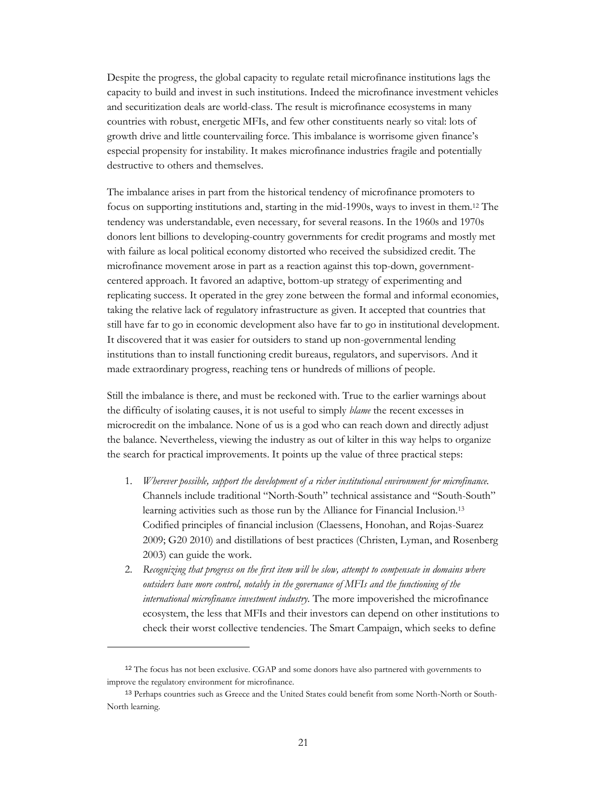Despite the progress, the global capacity to regulate retail microfinance institutions lags the capacity to build and invest in such institutions. Indeed the microfinance investment vehicles and securitization deals are world-class. The result is microfinance ecosystems in many countries with robust, energetic MFIs, and few other constituents nearly so vital: lots of growth drive and little countervailing force. This imbalance is worrisome given finance's especial propensity for instability. It makes microfinance industries fragile and potentially destructive to others and themselves.

The imbalance arises in part from the historical tendency of microfinance promoters to focus on supporting institutions and, starting in the mid-1990s, ways to invest in them.<sup>12</sup> The tendency was understandable, even necessary, for several reasons. In the 1960s and 1970s donors lent billions to developing-country governments for credit programs and mostly met with failure as local political economy distorted who received the subsidized credit. The microfinance movement arose in part as a reaction against this top-down, governmentcentered approach. It favored an adaptive, bottom-up strategy of experimenting and replicating success. It operated in the grey zone between the formal and informal economies, taking the relative lack of regulatory infrastructure as given. It accepted that countries that still have far to go in economic development also have far to go in institutional development. It discovered that it was easier for outsiders to stand up non-governmental lending institutions than to install functioning credit bureaus, regulators, and supervisors. And it made extraordinary progress, reaching tens or hundreds of millions of people.

Still the imbalance is there, and must be reckoned with. True to the earlier warnings about the difficulty of isolating causes, it is not useful to simply *blame* the recent excesses in microcredit on the imbalance. None of us is a god who can reach down and directly adjust the balance. Nevertheless, viewing the industry as out of kilter in this way helps to organize the search for practical improvements. It points up the value of three practical steps:

- 1. *Wherever possible, support the development of a richer institutional environment for microfinance.* Channels include traditional "North-South" technical assistance and "South-South" learning activities such as those run by the Alliance for Financial Inclusion.<sup>13</sup> Codified principles of financial inclusion (Claessens, Honohan, and Rojas-Suarez 2009; G20 2010) and distillations of best practices (Christen, Lyman, and Rosenberg 2003) can guide the work.
- 2. *Recognizing that progress on the first item will be slow, attempt to compensate in domains where outsiders have more control, notably in the governance of MFIs and the functioning of the international microfinance investment industry.* The more impoverished the microfinance ecosystem, the less that MFIs and their investors can depend on other institutions to check their worst collective tendencies. The Smart Campaign, which seeks to define

 $\overline{a}$ 

<sup>12</sup> The focus has not been exclusive. CGAP and some donors have also partnered with governments to improve the regulatory environment for microfinance.

<sup>13</sup> Perhaps countries such as Greece and the United States could benefit from some North-North or South-North learning.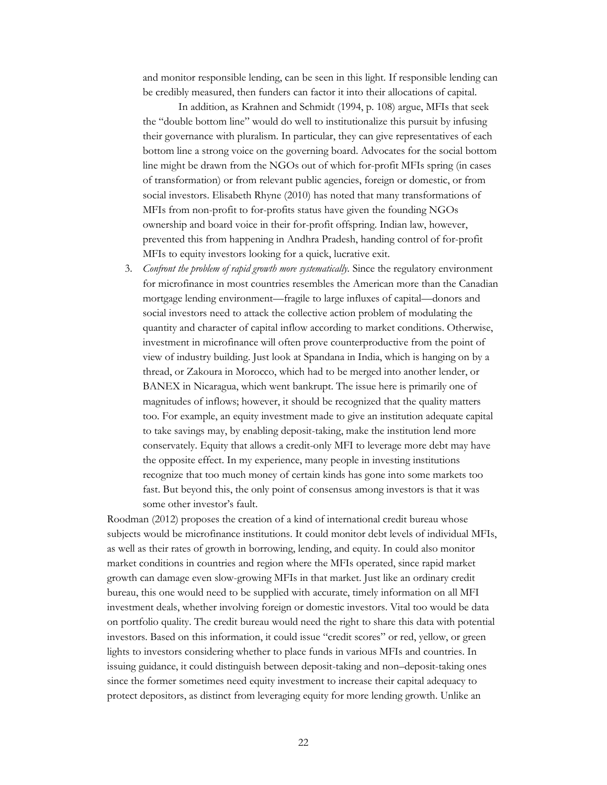and monitor responsible lending, can be seen in this light. If responsible lending can be credibly measured, then funders can factor it into their allocations of capital.

In addition, as Krahnen and Schmidt (1994, p. 108) argue, MFIs that seek the "double bottom line" would do well to institutionalize this pursuit by infusing their governance with pluralism. In particular, they can give representatives of each bottom line a strong voice on the governing board. Advocates for the social bottom line might be drawn from the NGOs out of which for-profit MFIs spring (in cases of transformation) or from relevant public agencies, foreign or domestic, or from social investors. Elisabeth Rhyne (2010) has noted that many transformations of MFIs from non-profit to for-profits status have given the founding NGOs ownership and board voice in their for-profit offspring. Indian law, however, prevented this from happening in Andhra Pradesh, handing control of for-profit MFIs to equity investors looking for a quick, lucrative exit.

3. *Confront the problem of rapid growth more systematically.* Since the regulatory environment for microfinance in most countries resembles the American more than the Canadian mortgage lending environment—fragile to large influxes of capital—donors and social investors need to attack the collective action problem of modulating the quantity and character of capital inflow according to market conditions. Otherwise, investment in microfinance will often prove counterproductive from the point of view of industry building. Just look at Spandana in India, which is hanging on by a thread, or Zakoura in Morocco, which had to be merged into another lender, or BANEX in Nicaragua, which went bankrupt. The issue here is primarily one of magnitudes of inflows; however, it should be recognized that the quality matters too. For example, an equity investment made to give an institution adequate capital to take savings may, by enabling deposit-taking, make the institution lend more conservately. Equity that allows a credit-only MFI to leverage more debt may have the opposite effect. In my experience, many people in investing institutions recognize that too much money of certain kinds has gone into some markets too fast. But beyond this, the only point of consensus among investors is that it was some other investor's fault.

Roodman (2012) proposes the creation of a kind of international credit bureau whose subjects would be microfinance institutions. It could monitor debt levels of individual MFIs, as well as their rates of growth in borrowing, lending, and equity. In could also monitor market conditions in countries and region where the MFIs operated, since rapid market growth can damage even slow-growing MFIs in that market. Just like an ordinary credit bureau, this one would need to be supplied with accurate, timely information on all MFI investment deals, whether involving foreign or domestic investors. Vital too would be data on portfolio quality. The credit bureau would need the right to share this data with potential investors. Based on this information, it could issue "credit scores" or red, yellow, or green lights to investors considering whether to place funds in various MFIs and countries. In issuing guidance, it could distinguish between deposit-taking and non–deposit-taking ones since the former sometimes need equity investment to increase their capital adequacy to protect depositors, as distinct from leveraging equity for more lending growth. Unlike an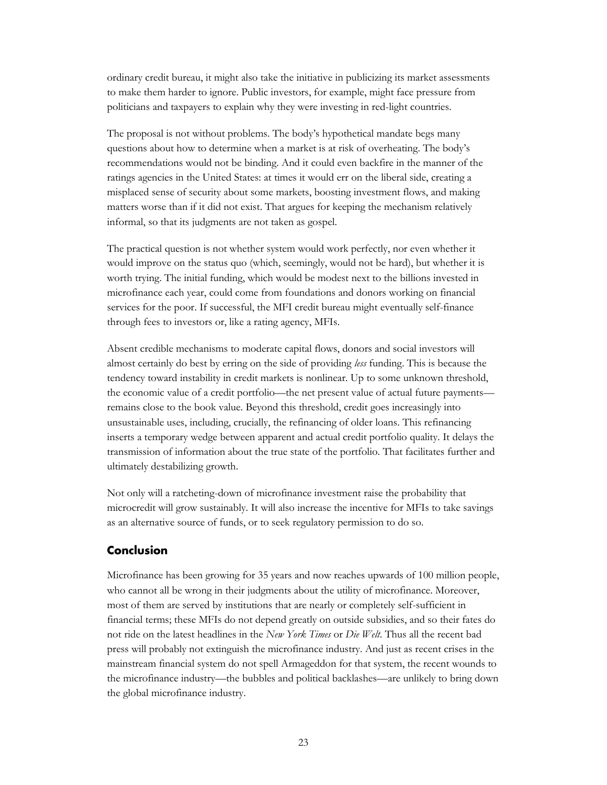ordinary credit bureau, it might also take the initiative in publicizing its market assessments to make them harder to ignore. Public investors, for example, might face pressure from politicians and taxpayers to explain why they were investing in red-light countries.

The proposal is not without problems. The body's hypothetical mandate begs many questions about how to determine when a market is at risk of overheating. The body's recommendations would not be binding. And it could even backfire in the manner of the ratings agencies in the United States: at times it would err on the liberal side, creating a misplaced sense of security about some markets, boosting investment flows, and making matters worse than if it did not exist. That argues for keeping the mechanism relatively informal, so that its judgments are not taken as gospel.

The practical question is not whether system would work perfectly, nor even whether it would improve on the status quo (which, seemingly, would not be hard), but whether it is worth trying. The initial funding, which would be modest next to the billions invested in microfinance each year, could come from foundations and donors working on financial services for the poor. If successful, the MFI credit bureau might eventually self-finance through fees to investors or, like a rating agency, MFIs.

Absent credible mechanisms to moderate capital flows, donors and social investors will almost certainly do best by erring on the side of providing *less* funding. This is because the tendency toward instability in credit markets is nonlinear. Up to some unknown threshold, the economic value of a credit portfolio—the net present value of actual future payments remains close to the book value. Beyond this threshold, credit goes increasingly into unsustainable uses, including, crucially, the refinancing of older loans. This refinancing inserts a temporary wedge between apparent and actual credit portfolio quality. It delays the transmission of information about the true state of the portfolio. That facilitates further and ultimately destabilizing growth.

Not only will a ratcheting-down of microfinance investment raise the probability that microcredit will grow sustainably. It will also increase the incentive for MFIs to take savings as an alternative source of funds, or to seek regulatory permission to do so.

#### <span id="page-24-0"></span>**Conclusion**

Microfinance has been growing for 35 years and now reaches upwards of 100 million people, who cannot all be wrong in their judgments about the utility of microfinance. Moreover, most of them are served by institutions that are nearly or completely self-sufficient in financial terms; these MFIs do not depend greatly on outside subsidies, and so their fates do not ride on the latest headlines in the *New York Times* or *Die Welt*. Thus all the recent bad press will probably not extinguish the microfinance industry. And just as recent crises in the mainstream financial system do not spell Armageddon for that system, the recent wounds to the microfinance industry—the bubbles and political backlashes—are unlikely to bring down the global microfinance industry.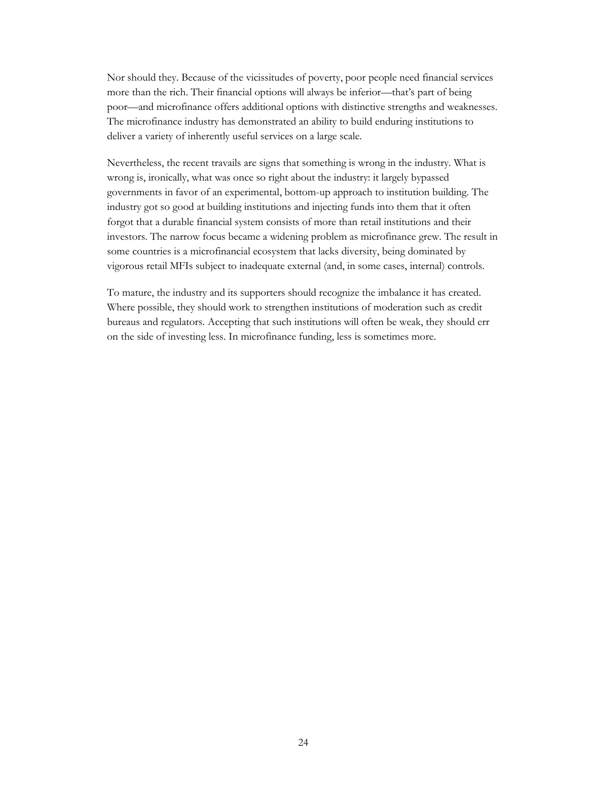Nor should they. Because of the vicissitudes of poverty, poor people need financial services more than the rich. Their financial options will always be inferior—that's part of being poor—and microfinance offers additional options with distinctive strengths and weaknesses. The microfinance industry has demonstrated an ability to build enduring institutions to deliver a variety of inherently useful services on a large scale.

Nevertheless, the recent travails are signs that something is wrong in the industry. What is wrong is, ironically, what was once so right about the industry: it largely bypassed governments in favor of an experimental, bottom-up approach to institution building. The industry got so good at building institutions and injecting funds into them that it often forgot that a durable financial system consists of more than retail institutions and their investors. The narrow focus became a widening problem as microfinance grew. The result in some countries is a microfinancial ecosystem that lacks diversity, being dominated by vigorous retail MFIs subject to inadequate external (and, in some cases, internal) controls.

To mature, the industry and its supporters should recognize the imbalance it has created. Where possible, they should work to strengthen institutions of moderation such as credit bureaus and regulators. Accepting that such institutions will often be weak, they should err on the side of investing less. In microfinance funding, less is sometimes more.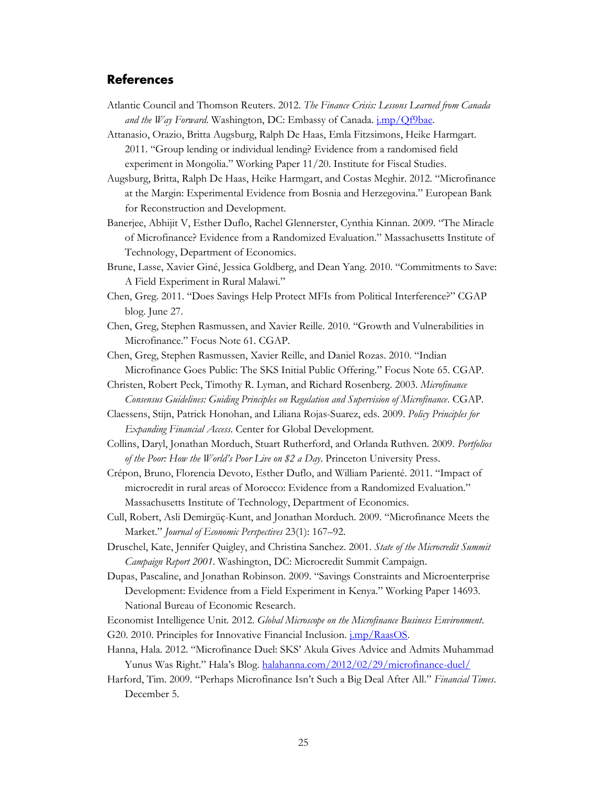#### <span id="page-26-0"></span>**References**

Atlantic Council and Thomson Reuters. 2012. *The Finance Crisis: Lessons Learned from Canada and the Way Forward*. Washington, DC: Embassy of Canada. [j.mp/Qf9bae.](http://j.mp/Qf9bae) 

Attanasio, Orazio, Britta Augsburg, Ralph De Haas, Emla Fitzsimons, Heike Harmgart. 2011. "Group lending or individual lending? Evidence from a randomised field experiment in Mongolia." Working Paper 11/20. Institute for Fiscal Studies.

Augsburg, Britta, Ralph De Haas, Heike Harmgart, and Costas Meghir. 2012. "Microfinance at the Margin: Experimental Evidence from Bosnia and Herzegovina." European Bank for Reconstruction and Development.

- Banerjee, Abhijit V, Esther Duflo, Rachel Glennerster, Cynthia Kinnan. 2009. "The Miracle of Microfinance? Evidence from a Randomized Evaluation." Massachusetts Institute of Technology, Department of Economics.
- Brune, Lasse, Xavier Giné, Jessica Goldberg, and Dean Yang. 2010. "Commitments to Save: A Field Experiment in Rural Malawi."
- Chen, Greg. 2011. "Does Savings Help Protect MFIs from Political Interference?" CGAP blog. June 27.
- Chen, Greg, Stephen Rasmussen, and Xavier Reille. 2010. "Growth and Vulnerabilities in Microfinance." Focus Note 61. CGAP.
- Chen, Greg, Stephen Rasmussen, Xavier Reille, and Daniel Rozas. 2010. "Indian Microfinance Goes Public: The SKS Initial Public Offering." Focus Note 65. CGAP.
- Christen, Robert Peck, Timothy R. Lyman, and Richard Rosenberg. 2003. *Microfinance Consensus Guidelines: Guiding Principles on Regulation and Supervision of Microfinance*. CGAP.
- Claessens, Stijn, Patrick Honohan, and Liliana Rojas-Suarez, eds. 2009. *Policy Principles for Expanding Financial Access*. Center for Global Development.
- Collins, Daryl, Jonathan Morduch, Stuart Rutherford, and Orlanda Ruthven. 2009. *Portfolios of the Poor: How the World's Poor Live on \$2 a Day*. Princeton University Press.

Crépon, Bruno, Florencia Devoto, Esther Duflo, and William Parienté. 2011. "Impact of microcredit in rural areas of Morocco: Evidence from a Randomized Evaluation." Massachusetts Institute of Technology, Department of Economics.

- Cull, Robert, Asli Demirgüç-Kunt, and Jonathan Morduch. 2009. "Microfinance Meets the Market." *Journal of Economic Perspectives* 23(1): 167–92.
- Druschel, Kate, Jennifer Quigley, and Christina Sanchez. 2001. *State of the Microcredit Summit Campaign Report 2001*. Washington, DC: Microcredit Summit Campaign.
- Dupas, Pascaline, and Jonathan Robinson. 2009. "Savings Constraints and Microenterprise Development: Evidence from a Field Experiment in Kenya." Working Paper 14693. National Bureau of Economic Research.
- Economist Intelligence Unit. 2012. *Global Microscope on the Microfinance Business Environment*. G20. 2010. Principles for Innovative Financial Inclusion. *i.mp/RaasOS.*
- Hanna, Hala. 2012. "Microfinance Duel: SKS' Akula Gives Advice and Admits Muhammad Yunus Was Right." Hala's Blog. [halahanna.com/2012/02/29/microfinance-duel/](http://halahanna.com/2012/02/29/microfinance-duel/)
- Harford, Tim. 2009. "Perhaps Microfinance Isn't Such a Big Deal After All." *Financial Times*. December 5.